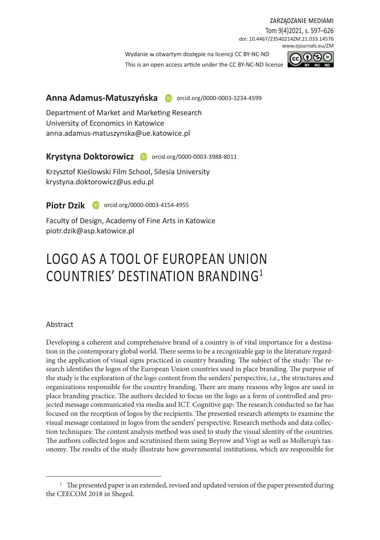#### zarządzanie mediami

Tom 9(4)2021, s. 597–626 doi: 10.4467/23540214ZM.21.033.14576 www.ejournals.eu/ZM

Wydanie w otwartym dostepie na licencii CC BY-NC-ND

This is an open access article under the CC BY-NC-ND license



### Anna Adamus-Matuszyńska **D** orcid.org/0000-0003-3234-4599

Department of Market and Marketing Research University of Economics in Katowice anna.adamus-matuszynska@ue.katowice.pl

### Krystyna Doktorowicz **D** orcid.org/0000-0003-3988-8011

Krzysztof Kieślowski Film School, Silesia University krystyna.doktorowicz@us.edu.pl

**Piotr Dzik D** orcid.org/0000-0003-4154-4955

Faculty of Design, Academy of Fine Arts in Katowice piotr.dzik@asp.katowice.pl

# LOGO AS A TOOL OF EUROPEAN UNION COUNTRIES' DESTINATION BRANDING<sup>1</sup>

#### Abstract

Developing a coherent and comprehensive brand of a country is of vital importance for a destination in the contemporary global world. There seems to be a recognizable gap in the literature regarding the application of visual signs practiced in country branding. The subject of the study: The research identifies the logos of the European Union countries used in place branding. The purpose of the study is the exploration of the logo content from the senders' perspective, i.e., the structures and organizations responsible for the country branding. There are many reasons why logos are used in place branding practice. The authors decided to focus on the logo as a form of controlled and projected message communicated via media and ICT. Cognitive gap: The research conducted so far has focused on the reception of logos by the recipients. The presented research attempts to examine the visual message contained in logos from the senders' perspective. Research methods and data collection techniques: The content analysis method was used to study the visual identity of the countries. The authors collected logos and scrutinised them using Beyrow and Vogt as well as Mollerup's taxonomy. The results of the study illustrate how governmental institutions, which are responsible for

 $1$  The presented paper is an extended, revised and updated version of the paper presented during the CEECOM 2018 in Sheged.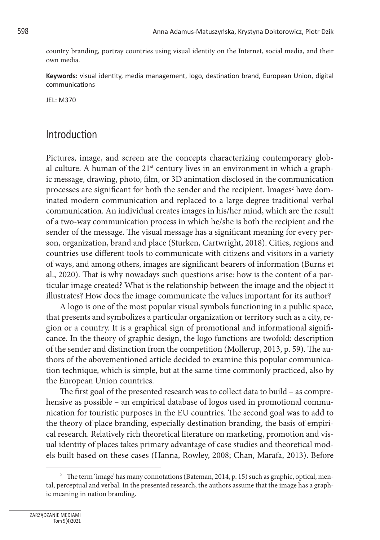country branding, portray countries using visual identity on the Internet, social media, and their own media.

**Keywords:** visual identity, media management, logo, destination brand, European Union, digital communications

JEL: M370

## Introduction

Pictures, image, and screen are the concepts characterizing contemporary global culture. A human of the  $21<sup>st</sup>$  century lives in an environment in which a graphic message, drawing, photo, film, or 3D animation disclosed in the communication processes are significant for both the sender and the recipient. Images<sup>2</sup> have dominated modern communication and replaced to a large degree traditional verbal communication. An individual creates images in his/her mind, which are the result of a two-way communication process in which he/she is both the recipient and the sender of the message. The visual message has a significant meaning for every person, organization, brand and place (Sturken, Cartwright, 2018). Cities, regions and countries use different tools to communicate with citizens and visitors in a variety of ways, and among others, images are significant bearers of information (Burns et al., 2020). That is why nowadays such questions arise: how is the content of a particular image created? What is the relationship between the image and the object it illustrates? How does the image communicate the values important for its author?

A logo is one of the most popular visual symbols functioning in a public space, that presents and symbolizes a particular organization or territory such as a city, region or a country. It is a graphical sign of promotional and informational significance. In the theory of graphic design, the logo functions are twofold: description of the sender and distinction from the competition (Mollerup, 2013, p. 59). The authors of the abovementioned article decided to examine this popular communication technique, which is simple, but at the same time commonly practiced, also by the European Union countries.

The first goal of the presented research was to collect data to build – as comprehensive as possible – an empirical database of logos used in promotional communication for touristic purposes in the EU countries. The second goal was to add to the theory of place branding, especially destination branding, the basis of empirical research. Relatively rich theoretical literature on marketing, promotion and visual identity of places takes primary advantage of case studies and theoretical models built based on these cases (Hanna, Rowley, 2008; Chan, Marafa, 2013). Before

<sup>&</sup>lt;sup>2</sup> The term 'image' has many connotations (Bateman, 2014, p. 15) such as graphic, optical, mental, perceptual and verbal. In the presented research, the authors assume that the image has a graphic meaning in nation branding.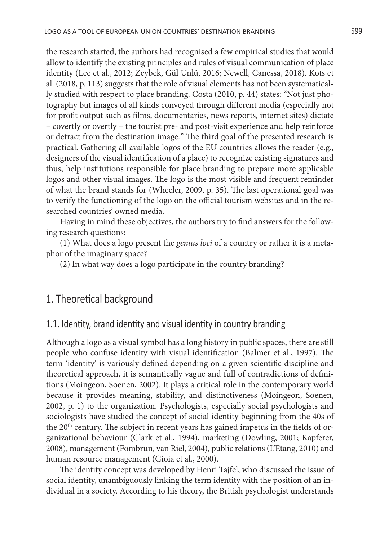the research started, the authors had recognised a few empirical studies that would allow to identify the existing principles and rules of visual communication of place identity (Lee et al., 2012; Zeybek, Gül Unlü, 2016; Newell, Canessa, 2018). Kots et al. (2018, p. 113) suggests that the role of visual elements has not been systematically studied with respect to place branding. Costa (2010, p. 44) states: "Not just photography but images of all kinds conveyed through different media (especially not for profit output such as films, documentaries, news reports, internet sites) dictate – covertly or overtly – the tourist pre- and post-visit experience and help reinforce or detract from the destination image*.*" The third goal of the presented research is practical. Gathering all available logos of the EU countries allows the reader (e.g., designers of the visual identification of a place) to recognize existing signatures and thus, help institutions responsible for place branding to prepare more applicable logos and other visual images. The logo is the most visible and frequent reminder of what the brand stands for (Wheeler, 2009, p. 35). The last operational goal was to verify the functioning of the logo on the official tourism websites and in the researched countries' owned media.

Having in mind these objectives, the authors try to find answers for the following research questions:

(1) What does a logo present the *genius loci* of a country or rather it is a metaphor of the imaginary space?

(2) In what way does a logo participate in the country branding?

## 1. Theoretical background

#### 1.1. Identity, brand identity and visual identity in country branding

Although a logo as a visual symbol has a long history in public spaces, there are still people who confuse identity with visual identification (Balmer et al., 1997). The term 'identity' is variously defined depending on a given scientific discipline and theoretical approach, it is semantically vague and full of contradictions of definitions (Moingeon, Soenen, 2002). It plays a critical role in the contemporary world because it provides meaning, stability, and distinctiveness (Moingeon, Soenen, 2002, p. 1) to the organization. Psychologists, especially social psychologists and sociologists have studied the concept of social identity beginning from the 40s of the  $20<sup>th</sup>$  century. The subject in recent years has gained impetus in the fields of organizational behaviour (Clark et al., 1994), marketing (Dowling, 2001; Kapferer, 2008), management (Fombrun, van Riel, 2004), public relations (L'Etang, 2010) and human resource management (Gioia et al., 2000).

The identity concept was developed by Henri Tajfel, who discussed the issue of social identity, unambiguously linking the term identity with the position of an individual in a society. According to his theory, the British psychologist understands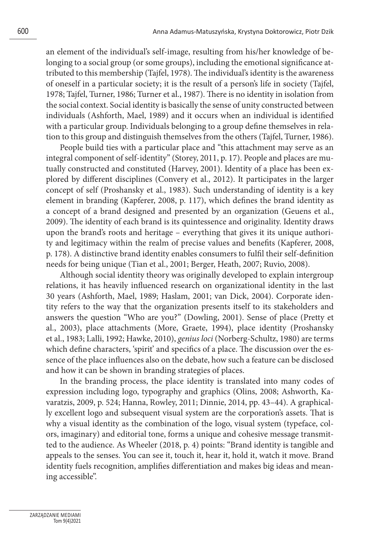an element of the individual's self-image, resulting from his/her knowledge of belonging to a social group (or some groups), including the emotional significance attributed to this membership (Tajfel, 1978). The individual's identity is the awareness of oneself in a particular society; it is the result of a person's life in society (Tajfel, 1978; Tajfel, Turner, 1986; Turner et al., 1987). There is no identity in isolation from the social context. Social identity is basically the sense of unity constructed between individuals (Ashforth, Mael, 1989) and it occurs when an individual is identified with a particular group. Individuals belonging to a group define themselves in relation to this group and distinguish themselves from the others (Tajfel, Turner, 1986).

People build ties with a particular place and "this attachment may serve as an integral component of self-identity" (Storey, 2011, p. 17). People and places are mutually constructed and constituted (Harvey, 2001). Identity of a place has been explored by different disciplines (Convery et al., 2012). It participates in the larger concept of self (Proshansky et al., 1983). Such understanding of identity is a key element in branding (Kapferer, 2008, p. 117), which defines the brand identity as a concept of a brand designed and presented by an organization (Geuens et al., 2009). The identity of each brand is its quintessence and originality. Identity draws upon the brand's roots and heritage – everything that gives it its unique authority and legitimacy within the realm of precise values and benefits (Kapferer, 2008, p. 178). A distinctive brand identity enables consumers to fulfil their self-definition needs for being unique (Tian et al., 2001; Berger, Heath, 2007; Ruvio, 2008).

Although social identity theory was originally developed to explain intergroup relations, it has heavily influenced research on organizational identity in the last 30 years (Ashforth, Mael, 1989; Haslam, 2001; van Dick, 2004). Corporate identity refers to the way that the organization presents itself to its stakeholders and answers the question "Who are you?" (Dowling, 2001). Sense of place (Pretty et al., 2003), place attachments (More, Graete, 1994), place identity (Proshansky et al., 1983; Lalli, 1992; Hawke, 2010), *genius loci* (Norberg-Schultz, 1980) are terms which define characters, 'spirit' and specifics of a place. The discussion over the essence of the place influences also on the debate, how such a feature can be disclosed and how it can be shown in branding strategies of places.

In the branding process, the place identity is translated into many codes of expression including logo, typography and graphics (Olins, 2008; Ashworth, Kavaratzis, 2009, p. 524; Hanna, Rowley, 2011; Dinnie, 2014, pp. 43–44). A graphically excellent logo and subsequent visual system are the corporation's assets. That is why a visual identity as the combination of the logo, visual system (typeface, colors, imaginary) and editorial tone, forms a unique and cohesive message transmitted to the audience. As Wheeler (2018, p. 4) points: "Brand identity is tangible and appeals to the senses. You can see it, touch it, hear it, hold it, watch it move. Brand identity fuels recognition, amplifies differentiation and makes big ideas and meaning accessible".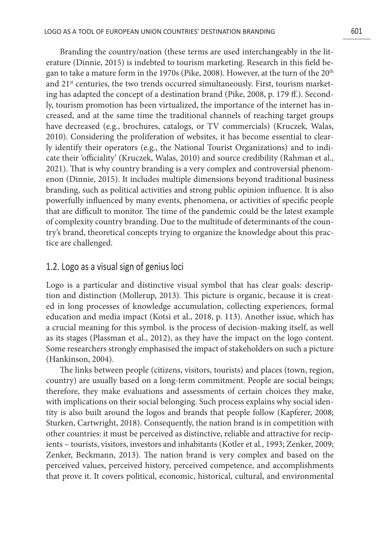Branding the country/nation (these terms are used interchangeably in the literature (Dinnie, 2015) is indebted to tourism marketing. Research in this field began to take a mature form in the 1970s (Pike, 2008). However, at the turn of the 20th and  $21<sup>st</sup>$  centuries, the two trends occurred simultaneously. First, tourism marketing has adapted the concept of a destination brand (Pike, 2008, p. 179 ff.). Secondly, tourism promotion has been virtualized, the importance of the internet has increased, and at the same time the traditional channels of reaching target groups have decreased (e.g., brochures, catalogs, or TV commercials) (Kruczek, Walas, 2010). Considering the proliferation of websites, it has become essential to clearly identify their operators (e.g., the National Tourist Organizations) and to indicate their 'officiality' (Kruczek, Walas, 2010) and source credibility (Rahman et al., 2021). That is why country branding is a very complex and controversial phenomenon (Dinnie, 2015). It includes multiple dimensions beyond traditional business branding, such as political activities and strong public opinion influence. It is also powerfully influenced by many events, phenomena, or activities of specific people that are difficult to monitor. The time of the pandemic could be the latest example of complexity country branding. Due to the multitude of determinants of the country's brand, theoretical concepts trying to organize the knowledge about this practice are challenged.

#### 1.2. Logo as a visual sign of genius loci

Logo is a particular and distinctive visual symbol that has clear goals: description and distinction (Mollerup, 2013). This picture is organic, because it is created in long processes of knowledge accumulation, collecting experiences, formal education and media impact (Kotsi et al., 2018, p. 113). Another issue, which has a crucial meaning for this symbol. is the process of decision-making itself, as well as its stages (Plassman et al., 2012), as they have the impact on the logo content. Some researchers strongly emphasised the impact of stakeholders on such a picture (Hankinson, 2004).

The links between people (citizens, visitors, tourists) and places (town, region, country) are usually based on a long-term commitment. People are social beings; therefore, they make evaluations and assessments of certain choices they make, with implications on their social belonging. Such process explains why social identity is also built around the logos and brands that people follow (Kapferer, 2008; Sturken, Cartwright, 2018). Consequently, the nation brand is in competition with other countries: it must be perceived as distinctive, reliable and attractive for recipients – tourists, visitors, investors and inhabitants (Kotler et al., 1993; Zenker, 2009; Zenker, Beckmann, 2013). The nation brand is very complex and based on the perceived values, perceived history, perceived competence, and accomplishments that prove it. It covers political, economic, historical, cultural, and environmental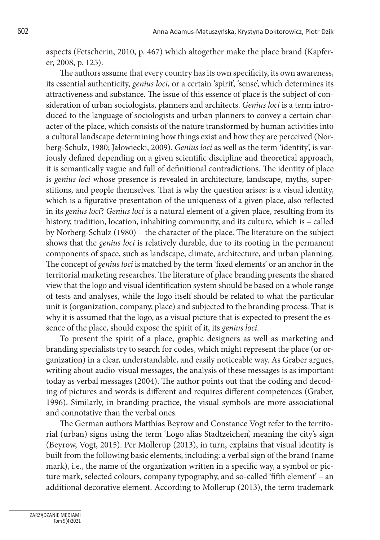aspects (Fetscherin, 2010, p. 467) which altogether make the place brand (Kapferer, 2008, p. 125).

The authors assume that every country has its own specificity, its own awareness, its essential authenticity, *genius loci*, or a certain 'spirit', 'sense', which determines its attractiveness and substance. The issue of this essence of place is the subject of consideration of urban sociologists, planners and architects. *Genius loci* is a term introduced to the language of sociologists and urban planners to convey a certain character of the place, which consists of the nature transformed by human activities into a cultural landscape determining how things exist and how they are perceived (Norberg-Schulz, 1980; Jałowiecki, 2009). *Genius loci* as well as the term 'identity', is variously defined depending on a given scientific discipline and theoretical approach, it is semantically vague and full of definitional contradictions. The identity of place is *genius loci* whose presence is revealed in architecture, landscape, myths, superstitions, and people themselves. That is why the question arises: is a visual identity, which is a figurative presentation of the uniqueness of a given place, also reflected in its *genius loci*? *Genius loci* is a natural element of a given place, resulting from its history, tradition, location, inhabiting community, and its culture, which is – called by Norberg-Schulz (1980) – the character of the place. The literature on the subject shows that the *genius loci* is relatively durable, due to its rooting in the permanent components of space, such as landscape, climate, architecture, and urban planning. The concept of *genius loci* is matched by the term 'fixed elements' or an anchor in the territorial marketing researches. The literature of place branding presents the shared view that the logo and visual identification system should be based on a whole range of tests and analyses, while the logo itself should be related to what the particular unit is (organization, company, place) and subjected to the branding process. That is why it is assumed that the logo, as a visual picture that is expected to present the essence of the place, should expose the spirit of it, its *genius loci*.

To present the spirit of a place, graphic designers as well as marketing and branding specialists try to search for codes, which might represent the place (or organization) in a clear, understandable, and easily noticeable way. As Graber argues, writing about audio-visual messages, the analysis of these messages is as important today as verbal messages (2004). The author points out that the coding and decoding of pictures and words is different and requires different competences (Graber, 1996). Similarly, in branding practice, the visual symbols are more associational and connotative than the verbal ones.

The German authors Matthias Beyrow and Constance Vogt refer to the territorial (urban) signs using the term 'Logo alias Stadtzeichen', meaning the city's sign (Beyrow, Vogt, 2015). Per Mollerup (2013), in turn, explains that visual identity is built from the following basic elements, including: a verbal sign of the brand (name mark), i.e., the name of the organization written in a specific way, a symbol or picture mark, selected colours, company typography, and so-called 'fifth element' – an additional decorative element. According to Mollerup (2013), the term trademark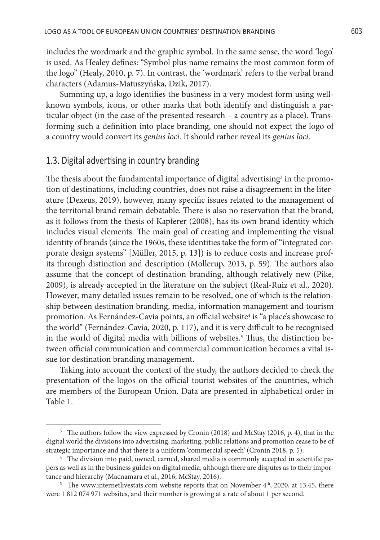includes the wordmark and the graphic symbol. In the same sense, the word 'logo' is used. As Healey defines: "Symbol plus name remains the most common form of the logo" (Healy, 2010, p. 7). In contrast, the 'wordmark' refers to the verbal brand characters (Adamus-Matuszyńska, Dzik, 2017).

Summing up, a logo identifies the business in a very modest form using wellknown symbols, icons, or other marks that both identify and distinguish a particular object (in the case of the presented research – a country as a place). Transforming such a definition into place branding, one should not expect the logo of a country would convert its *genius loci*. It should rather reveal its *genius loci*.

#### 1.3. Digital advertising in country branding

The thesis about the fundamental importance of digital advertising $^{\rm 3}$  in the promotion of destinations, including countries, does not raise a disagreement in the literature (Dexeus, 2019), however, many specific issues related to the management of the territorial brand remain debatable. There is also no reservation that the brand, as it follows from the thesis of Kapferer (2008), has its own brand identity which includes visual elements. The main goal of creating and implementing the visual identity of brands (since the 1960s, these identities take the form of "integrated corporate design systems" [Müller, 2015, p. 13]) is to reduce costs and increase profits through distinction and description (Mollerup, 2013, p. 59). The authors also assume that the concept of destination branding, although relatively new (Pike, 2009), is already accepted in the literature on the subject (Real-Ruiz et al., 2020). However, many detailed issues remain to be resolved, one of which is the relationship between destination branding, media, information management and tourism promotion. As Fernández-Cavia points, an official website<sup>4</sup> is "a place's showcase to the world" (Fernández-Cavia, 2020, p. 117), and it is very difficult to be recognised in the world of digital media with billions of websites.5 Thus, the distinction between official communication and commercial communication becomes a vital issue for destination branding management.

Taking into account the context of the study, the authors decided to check the presentation of the logos on the official tourist websites of the countries, which are members of the European Union. Data are presented in alphabetical order in Table 1.

<sup>&</sup>lt;sup>3</sup> The authors follow the view expressed by Cronin (2018) and McStay (2016, p. 4), that in the digital world the divisions into advertising, marketing, public relations and promotion cease to be of strategic importance and that there is a uniform 'commercial speech' (Cronin 2018, p. 5).

<sup>4</sup> The division into paid, owned, earned, shared media is commonly accepted in scientific papers as well as in the business guides on digital media, although there are disputes as to their importance and hierarchy (Macnamara et al., 2016; McStay, 2016).

<sup>&</sup>lt;sup>5</sup> The www.internetlivestats.com website reports that on November  $4<sup>th</sup>$ , 2020, at 13.45, there were 1 812 074 971 websites, and their number is growing at a rate of about 1 per second.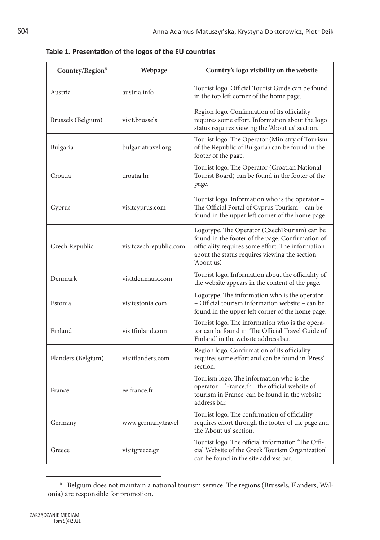| Country/Region <sup>6</sup> | Webpage                | Country's logo visibility on the website                                                                                                                                                                              |
|-----------------------------|------------------------|-----------------------------------------------------------------------------------------------------------------------------------------------------------------------------------------------------------------------|
| Austria                     | austria.info           | Tourist logo. Official Tourist Guide can be found<br>in the top left corner of the home page.                                                                                                                         |
| Brussels (Belgium)          | visit.brussels         | Region logo. Confirmation of its officiality<br>requires some effort. Information about the logo<br>status requires viewing the 'About us' section.                                                                   |
| Bulgaria                    | bulgariatravel.org     | Tourist logo. The Operator (Ministry of Tourism<br>of the Republic of Bulgaria) can be found in the<br>footer of the page.                                                                                            |
| Croatia                     | croatia.hr             | Tourist logo. The Operator (Croatian National<br>Tourist Board) can be found in the footer of the<br>page.                                                                                                            |
| Cyprus                      | visitcyprus.com        | Tourist logo. Information who is the operator –<br>The Official Portal of Cyprus Tourism – can be<br>found in the upper left corner of the home page.                                                                 |
| Czech Republic              | visitczechrepublic.com | Logotype. The Operator (CzechTourism) can be<br>found in the footer of the page. Confirmation of<br>officiality requires some effort. The information<br>about the status requires viewing the section<br>'About us'. |
| Denmark                     | visitdenmark.com       | Tourist logo. Information about the officiality of<br>the website appears in the content of the page.                                                                                                                 |
| Estonia                     | visitestonia.com       | Logotype. The information who is the operator<br>– Official tourism information website – can be<br>found in the upper left corner of the home page.                                                                  |
| Finland                     | visitfinland.com       | Tourist logo. The information who is the opera-<br>tor can be found in 'The Official Travel Guide of<br>Finland' in the website address bar.                                                                          |
| Flanders (Belgium)          | visitflanders.com      | Region logo. Confirmation of its officiality<br>requires some effort and can be found in 'Press'<br>section.                                                                                                          |
| France                      | ee.france.fr           | Tourism logo. The information who is the<br>operator – 'France.fr – the official website of<br>tourism in France' can be found in the website<br>address bar.                                                         |
| Germany                     | www.germany.travel     | Tourist logo. The confirmation of officiality<br>requires effort through the footer of the page and<br>the 'About us' section.                                                                                        |
| Greece                      | visitgreece.gr         | Tourist logo. The official information 'The Offi-<br>cial Website of the Greek Tourism Organization'<br>can be found in the site address bar.                                                                         |

**Table 1. Presentation of the logos of the EU countries**

 $^{\rm 6}~$  Belgium does not maintain a national tourism service. The regions (Brussels, Flanders, Wallonia) are responsible for promotion.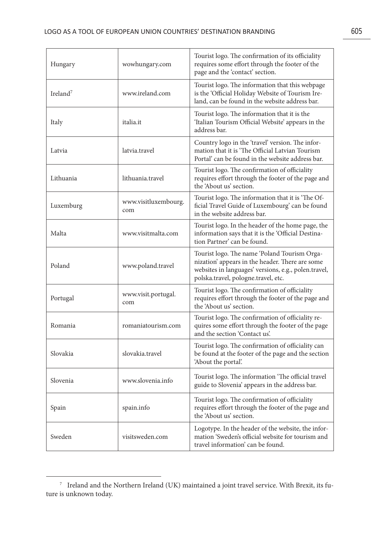| Hungary      | wowhungary.com              | Tourist logo. The confirmation of its officiality<br>requires some effort through the footer of the<br>page and the 'contact' section.                                                         |
|--------------|-----------------------------|------------------------------------------------------------------------------------------------------------------------------------------------------------------------------------------------|
| Ireland $^7$ | www.ireland.com             | Tourist logo. The information that this webpage<br>is the 'Official Holiday Website of Tourism Ire-<br>land, can be found in the website address bar.                                          |
| Italy        | italia.it                   | Tourist logo. The information that it is the<br>'Italian Tourism Official Website' appears in the<br>address bar.                                                                              |
| Latvia       | latvia.travel               | Country logo in the 'travel' version. The infor-<br>mation that it is 'The Official Latvian Tourism<br>Portal' can be found in the website address bar.                                        |
| Lithuania    | lithuania.travel            | Tourist logo. The confirmation of officiality<br>requires effort through the footer of the page and<br>the 'About us' section.                                                                 |
| Luxemburg    | www.visitluxembourg.<br>com | Tourist logo. The information that it is 'The Of-<br>ficial Travel Guide of Luxembourg' can be found<br>in the website address bar.                                                            |
| Malta        | www.visitmalta.com          | Tourist logo. In the header of the home page, the<br>information says that it is the 'Official Destina-<br>tion Partner' can be found.                                                         |
| Poland       | www.poland.travel           | Tourist logo. The name 'Poland Tourism Orga-<br>nization' appears in the header. There are some<br>websites in languages' versions, e.g., polen.travel,<br>polska.travel, pologne.travel, etc. |
| Portugal     | www.visit.portugal.<br>com  | Tourist logo. The confirmation of officiality<br>requires effort through the footer of the page and<br>the 'About us' section.                                                                 |
| Romania      | romaniatourism.com          | Tourist logo. The confirmation of officiality re-<br>quires some effort through the footer of the page<br>and the section 'Contact us'.                                                        |
| Slovakia     | slovakia.travel             | Tourist logo. The confirmation of officiality can<br>be found at the footer of the page and the section<br>'About the portal'.                                                                 |
| Slovenia     | www.slovenia.info           | Tourist logo. The information 'The official travel<br>guide to Slovenia' appears in the address bar.                                                                                           |
| Spain        | spain.info                  | Tourist logo. The confirmation of officiality<br>requires effort through the footer of the page and<br>the 'About us' section.                                                                 |
| Sweden       | visitsweden.com             | Logotype. In the header of the website, the infor-<br>mation 'Sweden's official website for tourism and<br>travel information' can be found.                                                   |

 $^7$  Ireland and the Northern Ireland (UK) maintained a joint travel service. With Brexit, its future is unknown today.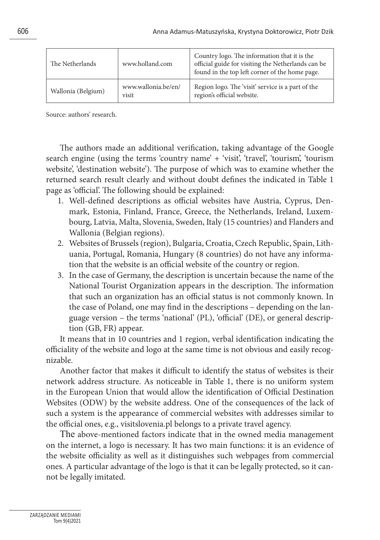| The Netherlands    | www.holland.com              | Country logo. The information that it is the<br>official guide for visiting the Netherlands can be<br>found in the top left corner of the home page. |
|--------------------|------------------------------|------------------------------------------------------------------------------------------------------------------------------------------------------|
| Wallonia (Belgium) | www.wallonia.be/en/<br>visit | Region logo. The 'visit' service is a part of the<br>region's official website.                                                                      |

Source: authors' research.

The authors made an additional verification, taking advantage of the Google search engine (using the terms 'country name' + 'visit', 'travel', 'tourism', 'tourism website', 'destination website'). The purpose of which was to examine whether the returned search result clearly and without doubt defines the indicated in Table 1 page as 'official'. The following should be explained:

- 1. Well-defined descriptions as official websites have Austria, Cyprus, Denmark, Estonia, Finland, France, Greece, the Netherlands, Ireland, Luxembourg, Latvia, Malta, Slovenia, Sweden, Italy (15 countries) and Flanders and Wallonia (Belgian regions).
- 2. Websites of Brussels (region), Bulgaria, Croatia, Czech Republic, Spain, Lithuania, Portugal, Romania, Hungary (8 countries) do not have any information that the website is an official website of the country or region.
- 3. In the case of Germany, the description is uncertain because the name of the National Tourist Organization appears in the description. The information that such an organization has an official status is not commonly known. In the case of Poland, one may find in the descriptions – depending on the language version – the terms 'national' (PL), 'official' (DE), or general description (GB, FR) appear.

It means that in 10 countries and 1 region, verbal identification indicating the officiality of the website and logo at the same time is not obvious and easily recognizable.

Another factor that makes it difficult to identify the status of websites is their network address structure. As noticeable in Table 1, there is no uniform system in the European Union that would allow the identification of Official Destination Websites (ODW) by the website address. One of the consequences of the lack of such a system is the appearance of commercial websites with addresses similar to the official ones, e.g., visitslovenia.pl belongs to a private travel agency.

The above-mentioned factors indicate that in the owned media management on the internet, a logo is necessary. It has two main functions: it is an evidence of the website officiality as well as it distinguishes such webpages from commercial ones. A particular advantage of the logo is that it can be legally protected, so it cannot be legally imitated.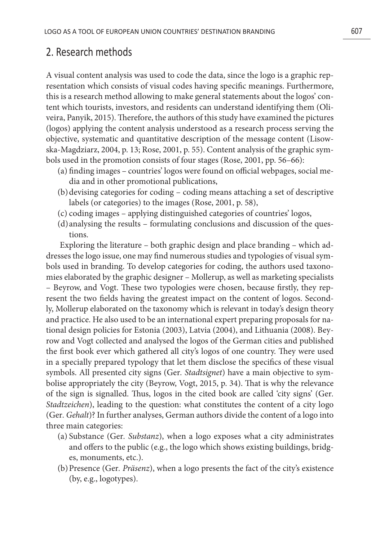#### 2. Research methods

A visual content analysis was used to code the data, since the logo is a graphic representation which consists of visual codes having specific meanings. Furthermore, this is a research method allowing to make general statements about the logos' content which tourists, investors, and residents can understand identifying them (Oliveira, Panyik, 2015). Therefore, the authors of this study have examined the pictures (logos) applying the content analysis understood as a research process serving the objective, systematic and quantitative description of the message content (Lisowska-Magdziarz, 2004, p. 13; Rose, 2001, p. 55). Content analysis of the graphic symbols used in the promotion consists of four stages (Rose, 2001, pp. 56–66):

- (a) finding images countries' logos were found on official webpages, social media and in other promotional publications,
- (b)devising categories for coding coding means attaching a set of descriptive labels (or categories) to the images (Rose, 2001, p. 58),
- (c) coding images applying distinguished categories of countries' logos,
- (d)analysing the results formulating conclusions and discussion of the questions.

Exploring the literature – both graphic design and place branding – which addresses the logo issue, one may find numerous studies and typologies of visual symbols used in branding. To develop categories for coding, the authors used taxonomies elaborated by the graphic designer – Mollerup, as well as marketing specialists – Beyrow, and Vogt. These two typologies were chosen, because firstly, they represent the two fields having the greatest impact on the content of logos. Secondly, Mollerup elaborated on the taxonomy which is relevant in today's design theory and practice. He also used to be an international expert preparing proposals for national design policies for Estonia (2003), Latvia (2004), and Lithuania (2008). Beyrow and Vogt collected and analysed the logos of the German cities and published the first book ever which gathered all city's logos of one country. They were used in a specially prepared typology that let them disclose the specifics of these visual symbols. All presented city signs (Ger*. Stadtsignet*) have a main objective to symbolise appropriately the city (Beyrow, Vogt, 2015, p. 34). That is why the relevance of the sign is signalled. Thus, logos in the cited book are called 'city signs' (Ger*. Stadtzeichen*), leading to the question: what constitutes the content of a city logo (Ger*. Gehalt*)? In further analyses, German authors divide the content of a logo into three main categories:

- (a) Substance (Ger*. Substanz*), when a logo exposes what a city administrates and offers to the public (e.g., the logo which shows existing buildings, bridges, monuments, etc.).
- (b)Presence (Ger*. Präsenz*), when a logo presents the fact of the city's existence (by, e.g., logotypes).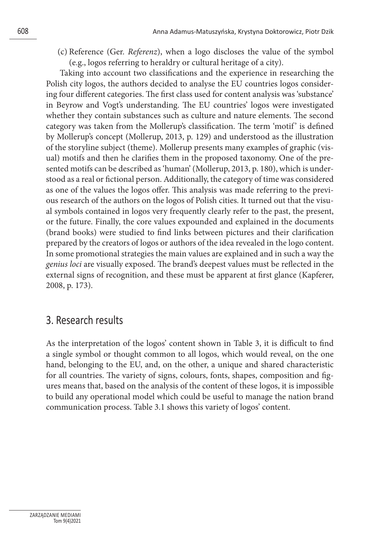(c) Reference (Ger. *Referenz*), when a logo discloses the value of the symbol (e.g., logos referring to heraldry or cultural heritage of a city).

Taking into account two classifications and the experience in researching the Polish city logos, the authors decided to analyse the EU countries logos considering four different categories. The first class used for content analysis was 'substance' in Beyrow and Vogt's understanding. The EU countries' logos were investigated whether they contain substances such as culture and nature elements. The second category was taken from the Mollerup's classification. The term 'motif ' is defined by Mollerup's concept (Mollerup, 2013, p. 129) and understood as the illustration of the storyline subject (theme). Mollerup presents many examples of graphic (visual) motifs and then he clarifies them in the proposed taxonomy. One of the presented motifs can be described as 'human' (Mollerup, 2013, p. 180), which is understood as a real or fictional person. Additionally, the category of time was considered as one of the values the logos offer. This analysis was made referring to the previous research of the authors on the logos of Polish cities. It turned out that the visual symbols contained in logos very frequently clearly refer to the past, the present, or the future. Finally, the core values expounded and explained in the documents (brand books) were studied to find links between pictures and their clarification prepared by the creators of logos or authors of the idea revealed in the logo content. In some promotional strategies the main values are explained and in such a way the *genius loci* are visually exposed. The brand's deepest values must be reflected in the external signs of recognition, and these must be apparent at first glance (Kapferer, 2008, p. 173).

## 3. Research results

As the interpretation of the logos' content shown in Table 3, it is difficult to find a single symbol or thought common to all logos, which would reveal, on the one hand, belonging to the EU, and, on the other, a unique and shared characteristic for all countries. The variety of signs, colours, fonts, shapes, composition and figures means that, based on the analysis of the content of these logos, it is impossible to build any operational model which could be useful to manage the nation brand communication process. Table 3.1 shows this variety of logos' content.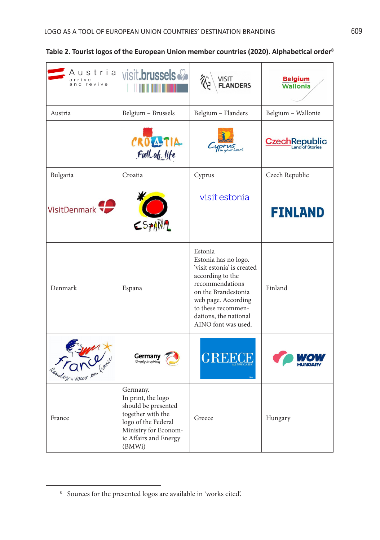| Austrial<br>arrive<br>and revive | visit.brussels                                                                                                                                               | VISIT<br><b>FLANDERS</b>                                                                                                                                                                                                 | <b>Belgium</b><br><b>Wallonia</b>        |
|----------------------------------|--------------------------------------------------------------------------------------------------------------------------------------------------------------|--------------------------------------------------------------------------------------------------------------------------------------------------------------------------------------------------------------------------|------------------------------------------|
| Austria                          | Belgium - Brussels                                                                                                                                           | Belgium - Flanders                                                                                                                                                                                                       | Belgium - Wallonie                       |
|                                  | CROATIA<br>Full of life                                                                                                                                      |                                                                                                                                                                                                                          | <b>Czech Republic</b><br>Land of Stories |
| Bulgaria                         | Croatia                                                                                                                                                      | Cyprus                                                                                                                                                                                                                   | Czech Republic                           |
| VisitDenmark                     | $C57$ ANA                                                                                                                                                    | visit estonia                                                                                                                                                                                                            | <b>FINLAND</b>                           |
| Denmark                          | Espana                                                                                                                                                       | Estonia<br>Estonia has no logo.<br>'visit estonia' is created<br>according to the<br>recommendations<br>on the Brandestonia<br>web page. According<br>to these recommen-<br>dations, the national<br>AINO font was used. | Finland                                  |
| dez + vour es                    | <b>Germany</b><br>Simply inspiring                                                                                                                           | <b>GREECE</b>                                                                                                                                                                                                            |                                          |
| France                           | Germany.<br>In print, the logo<br>should be presented<br>together with the<br>logo of the Federal<br>Ministry for Econom-<br>ic Affairs and Energy<br>(BMWi) | Greece                                                                                                                                                                                                                   | Hungary                                  |

<sup>8</sup> Sources for the presented logos are available in 'works cited'.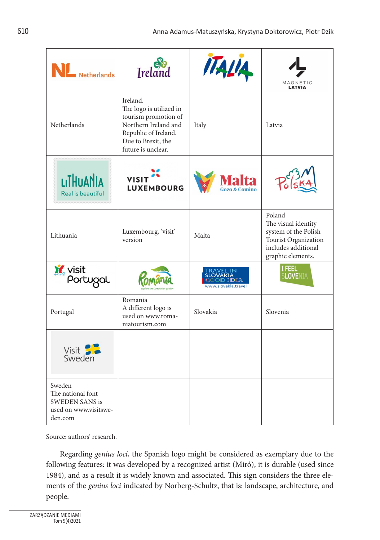| Netherlands                                                                              | Ireland                                                                                                                                                 | ITALIA              | MAGNETIC                                                                                                                  |
|------------------------------------------------------------------------------------------|---------------------------------------------------------------------------------------------------------------------------------------------------------|---------------------|---------------------------------------------------------------------------------------------------------------------------|
| Netherlands                                                                              | Ireland.<br>The logo is utilized in<br>tourism promotion of<br>Northern Ireland and<br>Republic of Ireland.<br>Due to Brexit, the<br>future is unclear. | Italy               | Latvia                                                                                                                    |
| LITHUANIA<br>Real is beautiful                                                           | <b>VISIT</b><br><b>LUXEMBOURG</b>                                                                                                                       |                     |                                                                                                                           |
| Lithuania                                                                                | Luxembourg, 'visit'<br>version                                                                                                                          | Malta               | Poland<br>The visual identity<br>system of the Polish<br>Tourist Organization<br>includes additional<br>graphic elements. |
| <b>Y</b> visit<br>Portugal                                                               |                                                                                                                                                         | www.slovakia.travel | I FEEL<br><b>SLOVENIA</b>                                                                                                 |
| Portugal                                                                                 | Romania<br>A different logo is<br>used on www.roma-<br>niatourism.com                                                                                   | Slovakia            | Slovenia                                                                                                                  |
| Visit<br>Sweden                                                                          |                                                                                                                                                         |                     |                                                                                                                           |
| Sweden<br>The national font<br><b>SWEDEN SANS is</b><br>used on www.visitswe-<br>den.com |                                                                                                                                                         |                     |                                                                                                                           |

Source: authors' research.

Regarding *genius loci*, the Spanish logo might be considered as exemplary due to the following features: it was developed by a recognized artist (Miró), it is durable (used since 1984), and as a result it is widely known and associated. This sign considers the three elements of the *genius loci* indicated by Norberg-Schultz, that is: landscape, architecture, and people.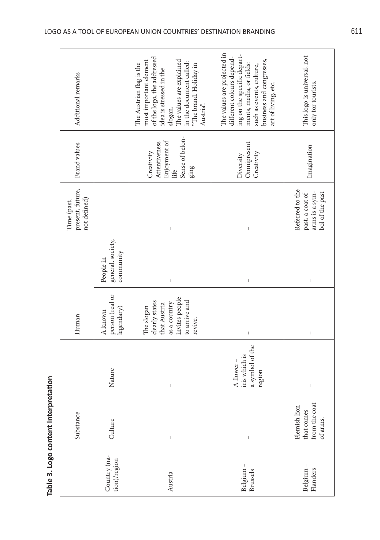| Country (na-<br>tion)/region | Table 3. Logo content interpretation<br>Substance<br>Culture | Nature                                                   | person (real or<br>The slogan<br>legendary)<br>A known<br>Human                              | general, society,<br>community<br>People in | present, future,<br>not defined)<br>Time (past,                         | <b>Brand</b> values<br>Creativity                                | most important element<br>The Austrian flag is the<br>Additional remarks                                                                                                                           |
|------------------------------|--------------------------------------------------------------|----------------------------------------------------------|----------------------------------------------------------------------------------------------|---------------------------------------------|-------------------------------------------------------------------------|------------------------------------------------------------------|----------------------------------------------------------------------------------------------------------------------------------------------------------------------------------------------------|
| Austria                      | $\mathsf I$                                                  | $\mathbf{I}$                                             | invites people<br>to arrive and<br>clearly states<br>as a country<br>that Austria<br>revive. | $\mathbf{I}$                                | $\mathsf I$                                                             | Sense of belon-<br>Enjoyment of<br>Attentiveness<br>ging<br>life | of the logo, the addressed<br>The values are explained<br>in the document called:<br>"The brand. Holiday in<br>idea is stressed in the<br>Austria <sup>"</sup> .<br>slogan.                        |
| Belgium -<br>Brussels        | $\mathsf I$                                                  | a symbol of the<br>iris which is<br>A flower -<br>region | $\mathsf I$                                                                                  | $\mathsf I$                                 | $\mathsf I$                                                             | Omnipresent<br>Creativity<br>Diversity                           | The values are projected in<br>ing on the specific depart-<br>different colours depend-<br>business and congresses,<br>ments, media, or fields:<br>such as events, culture,<br>art of living, etc. |
| Belgium -<br>Flanders        | from the coat<br>Flemish lion<br>that comes<br>of arms.      | $\bar{\rm I}$                                            | $\mathsf I$                                                                                  | $\mathsf I$                                 | Referred to the<br>arms is a sym-<br>bol of the past<br>past, a coat of | Imagination                                                      | This logo is universal, not<br>only for tourists.                                                                                                                                                  |

r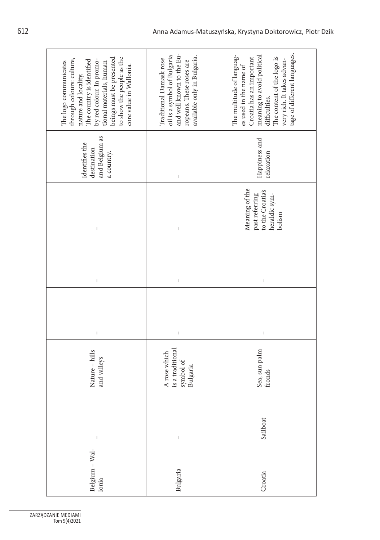| beings must be presented<br>to show the people as the<br>through colours: culture,<br>The country is identified<br>by red colour. In promo-<br>tional materials, human<br>The logo communicates<br>core value in Wallonia.<br>nature and locality. | and well known to the Eu-<br>oil is a symbol of Bulgaria<br>available only in Bulgaria.<br>Traditional Damask rose<br>ropeans. These roses are                                                                                                                                                                                                                                   | tage of different languages.<br>The multitude of languag-<br>meaning to avoid political<br>The content of the logo is<br>Croatia has an important<br>very rich. It takes advan-<br>es used in the name of<br>difficulties.                                                                                                                                                                                     |
|----------------------------------------------------------------------------------------------------------------------------------------------------------------------------------------------------------------------------------------------------|----------------------------------------------------------------------------------------------------------------------------------------------------------------------------------------------------------------------------------------------------------------------------------------------------------------------------------------------------------------------------------|----------------------------------------------------------------------------------------------------------------------------------------------------------------------------------------------------------------------------------------------------------------------------------------------------------------------------------------------------------------------------------------------------------------|
| and Belgium as<br>Identifies the<br>destination<br>a country.                                                                                                                                                                                      | $\mid$                                                                                                                                                                                                                                                                                                                                                                           | Happiness and<br>relaxation                                                                                                                                                                                                                                                                                                                                                                                    |
| I                                                                                                                                                                                                                                                  | $\begin{array}{c} \rule{0pt}{2.5ex} \rule{0pt}{2.5ex} \rule{0pt}{2.5ex} \rule{0pt}{2.5ex} \rule{0pt}{2.5ex} \rule{0pt}{2.5ex} \rule{0pt}{2.5ex} \rule{0pt}{2.5ex} \rule{0pt}{2.5ex} \rule{0pt}{2.5ex} \rule{0pt}{2.5ex} \rule{0pt}{2.5ex} \rule{0pt}{2.5ex} \rule{0pt}{2.5ex} \rule{0pt}{2.5ex} \rule{0pt}{2.5ex} \rule{0pt}{2.5ex} \rule{0pt}{2.5ex} \rule{0pt}{2.5ex} \rule{0$ | Meaning of the<br>to the Croatia's<br>past referring<br>heraldic sym-<br>bolism                                                                                                                                                                                                                                                                                                                                |
| I                                                                                                                                                                                                                                                  | $\begin{array}{c} \rule{0pt}{2.5ex} \rule{0pt}{2.5ex} \rule{0pt}{2.5ex} \rule{0pt}{2.5ex} \rule{0pt}{2.5ex} \rule{0pt}{2.5ex} \rule{0pt}{2.5ex} \rule{0pt}{2.5ex} \rule{0pt}{2.5ex} \rule{0pt}{2.5ex} \rule{0pt}{2.5ex} \rule{0pt}{2.5ex} \rule{0pt}{2.5ex} \rule{0pt}{2.5ex} \rule{0pt}{2.5ex} \rule{0pt}{2.5ex} \rule{0pt}{2.5ex} \rule{0pt}{2.5ex} \rule{0pt}{2.5ex} \rule{0$ | $\sf I$                                                                                                                                                                                                                                                                                                                                                                                                        |
| $\mathsf I$                                                                                                                                                                                                                                        | $\mathsf I$                                                                                                                                                                                                                                                                                                                                                                      | $\begin{array}{c} \rule{0pt}{2ex} \rule{0pt}{2ex} \rule{0pt}{2ex} \rule{0pt}{2ex} \rule{0pt}{2ex} \rule{0pt}{2ex} \rule{0pt}{2ex} \rule{0pt}{2ex} \rule{0pt}{2ex} \rule{0pt}{2ex} \rule{0pt}{2ex} \rule{0pt}{2ex} \rule{0pt}{2ex} \rule{0pt}{2ex} \rule{0pt}{2ex} \rule{0pt}{2ex} \rule{0pt}{2ex} \rule{0pt}{2ex} \rule{0pt}{2ex} \rule{0pt}{2ex} \rule{0pt}{2ex} \rule{0pt}{2ex} \rule{0pt}{2ex} \rule{0pt}{$ |
| Nature - hills<br>and valleys                                                                                                                                                                                                                      | is a traditional<br>A rose which<br>symbol of<br>Bulgaria                                                                                                                                                                                                                                                                                                                        | Sea, sun palm<br>fronds                                                                                                                                                                                                                                                                                                                                                                                        |
| $\mathsf{I}$                                                                                                                                                                                                                                       | $\begin{array}{c} \rule{0pt}{2.5ex} \rule{0pt}{2.5ex} \rule{0pt}{2.5ex} \rule{0pt}{2.5ex} \rule{0pt}{2.5ex} \rule{0pt}{2.5ex} \rule{0pt}{2.5ex} \rule{0pt}{2.5ex} \rule{0pt}{2.5ex} \rule{0pt}{2.5ex} \rule{0pt}{2.5ex} \rule{0pt}{2.5ex} \rule{0pt}{2.5ex} \rule{0pt}{2.5ex} \rule{0pt}{2.5ex} \rule{0pt}{2.5ex} \rule{0pt}{2.5ex} \rule{0pt}{2.5ex} \rule{0pt}{2.5ex} \rule{0$ | Sailboat                                                                                                                                                                                                                                                                                                                                                                                                       |
| Belgium – Wal-<br>Ionia                                                                                                                                                                                                                            | Bulgaria                                                                                                                                                                                                                                                                                                                                                                         | Croatia                                                                                                                                                                                                                                                                                                                                                                                                        |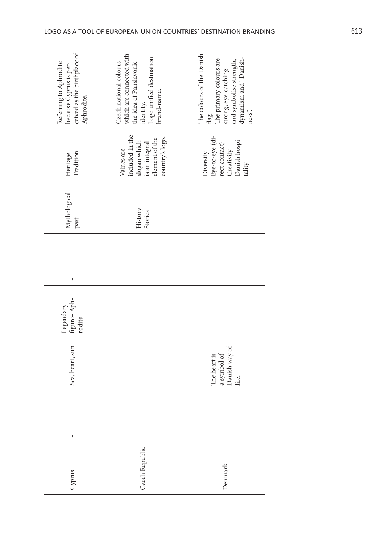| because Cyprus is per-<br>ceived as the birthplace of<br>Referring to Aphrodite<br>Aphrodite. | which are connected with<br>Logo unified destination<br>brand-name.<br>Czech national colours<br>the idea of Panslavonic<br>identity.                                                                                                                                                                                                                                            | The colours of the Danish<br>strong, eye-catching<br>and symbolise strength,<br>dynamism and "Danish-<br>flag.<br>The primary colours are<br>ness". |
|-----------------------------------------------------------------------------------------------|----------------------------------------------------------------------------------------------------------------------------------------------------------------------------------------------------------------------------------------------------------------------------------------------------------------------------------------------------------------------------------|-----------------------------------------------------------------------------------------------------------------------------------------------------|
| Tradition<br>Heritage                                                                         | included in the<br>country's logo.<br>element of the<br>slogan which<br>is an integral<br>Values are                                                                                                                                                                                                                                                                             | $\begin{array}{l} \mbox{Eyc-to-cycle (di-} \\ \mbox{rect contact)} \end{array}$<br>Danish hospi-<br>Creativity<br>Diversity<br>tality               |
| Mythological<br>past                                                                          | History<br>Stories                                                                                                                                                                                                                                                                                                                                                               | $\mathsf{I}$                                                                                                                                        |
| I                                                                                             | I                                                                                                                                                                                                                                                                                                                                                                                | I                                                                                                                                                   |
| figure-Aph-<br>Legendary<br>rodite                                                            | $\overline{1}$                                                                                                                                                                                                                                                                                                                                                                   | $\mathsf{I}$                                                                                                                                        |
| Sea, heart, sun                                                                               | Ï                                                                                                                                                                                                                                                                                                                                                                                | Danish way of<br>a symbol of<br>The heart is<br>life.                                                                                               |
| $\mathsf I$                                                                                   | $\begin{array}{c} \rule{0pt}{2.5ex} \rule{0pt}{2.5ex} \rule{0pt}{2.5ex} \rule{0pt}{2.5ex} \rule{0pt}{2.5ex} \rule{0pt}{2.5ex} \rule{0pt}{2.5ex} \rule{0pt}{2.5ex} \rule{0pt}{2.5ex} \rule{0pt}{2.5ex} \rule{0pt}{2.5ex} \rule{0pt}{2.5ex} \rule{0pt}{2.5ex} \rule{0pt}{2.5ex} \rule{0pt}{2.5ex} \rule{0pt}{2.5ex} \rule{0pt}{2.5ex} \rule{0pt}{2.5ex} \rule{0pt}{2.5ex} \rule{0$ | $\mathsf I$                                                                                                                                         |
| Cyprus                                                                                        | Czech Republic                                                                                                                                                                                                                                                                                                                                                                   | Denmark                                                                                                                                             |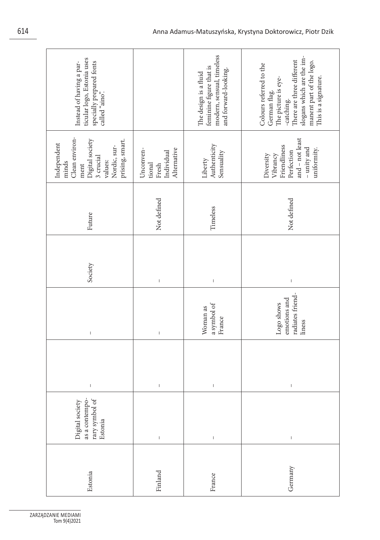| ticular logo, Estonia uses<br>specially prepared fonts<br>called "aino".<br>Instead of having a par-                                                                                                                                                                                                                                                                             |                                                                                                                                                                                                                                                                                                                                                                                                                | modern, sensual, timeless<br>feminine figure that is<br>and forward-looking.<br>The design is a fluid                                                                                                                                                                                                                                                                                                          | slogans which are the im-<br>There are three different<br>manent part of the logo.<br>Colours referred to the<br>This is a signature.<br>The picture is eye-<br>German flag.<br>-catching.                                                                                                                                                                                                                     |
|----------------------------------------------------------------------------------------------------------------------------------------------------------------------------------------------------------------------------------------------------------------------------------------------------------------------------------------------------------------------------------|----------------------------------------------------------------------------------------------------------------------------------------------------------------------------------------------------------------------------------------------------------------------------------------------------------------------------------------------------------------------------------------------------------------|----------------------------------------------------------------------------------------------------------------------------------------------------------------------------------------------------------------------------------------------------------------------------------------------------------------------------------------------------------------------------------------------------------------|----------------------------------------------------------------------------------------------------------------------------------------------------------------------------------------------------------------------------------------------------------------------------------------------------------------------------------------------------------------------------------------------------------------|
| Clean environ-<br>prising, smart.<br>Digital society<br>3 crucial<br>Independent<br>Nordic, sur-<br>values:<br>minds<br>ment                                                                                                                                                                                                                                                     | Unconven-<br>Alternative<br>Individual<br>tional<br>Fresh                                                                                                                                                                                                                                                                                                                                                      | Authenticity<br>Sensuality<br>Liberty                                                                                                                                                                                                                                                                                                                                                                          | and - not least<br>Friendliness<br>- unity and<br>uniformity.<br>Perfection<br>Vibrancy<br>Diversity                                                                                                                                                                                                                                                                                                           |
| Future                                                                                                                                                                                                                                                                                                                                                                           | Not defined                                                                                                                                                                                                                                                                                                                                                                                                    | Timeless                                                                                                                                                                                                                                                                                                                                                                                                       | Not defined                                                                                                                                                                                                                                                                                                                                                                                                    |
| Society                                                                                                                                                                                                                                                                                                                                                                          | $\begin{array}{c} \rule{0pt}{2ex} \rule{0pt}{2ex} \rule{0pt}{2ex} \rule{0pt}{2ex} \rule{0pt}{2ex} \rule{0pt}{2ex} \rule{0pt}{2ex} \rule{0pt}{2ex} \rule{0pt}{2ex} \rule{0pt}{2ex} \rule{0pt}{2ex} \rule{0pt}{2ex} \rule{0pt}{2ex} \rule{0pt}{2ex} \rule{0pt}{2ex} \rule{0pt}{2ex} \rule{0pt}{2ex} \rule{0pt}{2ex} \rule{0pt}{2ex} \rule{0pt}{2ex} \rule{0pt}{2ex} \rule{0pt}{2ex} \rule{0pt}{2ex} \rule{0pt}{$ | $\begin{array}{c} \rule{0pt}{2ex} \rule{0pt}{2ex} \rule{0pt}{2ex} \rule{0pt}{2ex} \rule{0pt}{2ex} \rule{0pt}{2ex} \rule{0pt}{2ex} \rule{0pt}{2ex} \rule{0pt}{2ex} \rule{0pt}{2ex} \rule{0pt}{2ex} \rule{0pt}{2ex} \rule{0pt}{2ex} \rule{0pt}{2ex} \rule{0pt}{2ex} \rule{0pt}{2ex} \rule{0pt}{2ex} \rule{0pt}{2ex} \rule{0pt}{2ex} \rule{0pt}{2ex} \rule{0pt}{2ex} \rule{0pt}{2ex} \rule{0pt}{2ex} \rule{0pt}{$ | $\,$ $\,$                                                                                                                                                                                                                                                                                                                                                                                                      |
| $\mid$                                                                                                                                                                                                                                                                                                                                                                           | $\begin{array}{c} \rule{0pt}{2.5ex} \rule{0pt}{2.5ex} \rule{0pt}{2.5ex} \rule{0pt}{2.5ex} \rule{0pt}{2.5ex} \rule{0pt}{2.5ex} \rule{0pt}{2.5ex} \rule{0pt}{2.5ex} \rule{0pt}{2.5ex} \rule{0pt}{2.5ex} \rule{0pt}{2.5ex} \rule{0pt}{2.5ex} \rule{0pt}{2.5ex} \rule{0pt}{2.5ex} \rule{0pt}{2.5ex} \rule{0pt}{2.5ex} \rule{0pt}{2.5ex} \rule{0pt}{2.5ex} \rule{0pt}{2.5ex} \rule{0$                               | a symbol of<br>Woman as<br>France                                                                                                                                                                                                                                                                                                                                                                              | radiates friend-<br>emotions and<br>Logo shows<br>liness                                                                                                                                                                                                                                                                                                                                                       |
| $\begin{array}{c} \rule{0pt}{2.5ex} \rule{0pt}{2.5ex} \rule{0pt}{2.5ex} \rule{0pt}{2.5ex} \rule{0pt}{2.5ex} \rule{0pt}{2.5ex} \rule{0pt}{2.5ex} \rule{0pt}{2.5ex} \rule{0pt}{2.5ex} \rule{0pt}{2.5ex} \rule{0pt}{2.5ex} \rule{0pt}{2.5ex} \rule{0pt}{2.5ex} \rule{0pt}{2.5ex} \rule{0pt}{2.5ex} \rule{0pt}{2.5ex} \rule{0pt}{2.5ex} \rule{0pt}{2.5ex} \rule{0pt}{2.5ex} \rule{0$ | $\begin{array}{c} \rule{0pt}{2.5ex} \rule{0pt}{2.5ex} \rule{0pt}{2.5ex} \rule{0pt}{2.5ex} \rule{0pt}{2.5ex} \rule{0pt}{2.5ex} \rule{0pt}{2.5ex} \rule{0pt}{2.5ex} \rule{0pt}{2.5ex} \rule{0pt}{2.5ex} \rule{0pt}{2.5ex} \rule{0pt}{2.5ex} \rule{0pt}{2.5ex} \rule{0pt}{2.5ex} \rule{0pt}{2.5ex} \rule{0pt}{2.5ex} \rule{0pt}{2.5ex} \rule{0pt}{2.5ex} \rule{0pt}{2.5ex} \rule{0$                               | $\mid$                                                                                                                                                                                                                                                                                                                                                                                                         | $\mid$                                                                                                                                                                                                                                                                                                                                                                                                         |
| as a contempo-<br>rary symbol of<br>Estonia<br>Digital society                                                                                                                                                                                                                                                                                                                   | $\begin{array}{c} \rule{0pt}{2.5ex} \rule{0pt}{2.5ex} \rule{0pt}{2.5ex} \rule{0pt}{2.5ex} \rule{0pt}{2.5ex} \rule{0pt}{2.5ex} \rule{0pt}{2.5ex} \rule{0pt}{2.5ex} \rule{0pt}{2.5ex} \rule{0pt}{2.5ex} \rule{0pt}{2.5ex} \rule{0pt}{2.5ex} \rule{0pt}{2.5ex} \rule{0pt}{2.5ex} \rule{0pt}{2.5ex} \rule{0pt}{2.5ex} \rule{0pt}{2.5ex} \rule{0pt}{2.5ex} \rule{0pt}{2.5ex} \rule{0$                               | $\begin{array}{c} \rule{0pt}{2ex} \rule{0pt}{2ex} \rule{0pt}{2ex} \rule{0pt}{2ex} \rule{0pt}{2ex} \rule{0pt}{2ex} \rule{0pt}{2ex} \rule{0pt}{2ex} \rule{0pt}{2ex} \rule{0pt}{2ex} \rule{0pt}{2ex} \rule{0pt}{2ex} \rule{0pt}{2ex} \rule{0pt}{2ex} \rule{0pt}{2ex} \rule{0pt}{2ex} \rule{0pt}{2ex} \rule{0pt}{2ex} \rule{0pt}{2ex} \rule{0pt}{2ex} \rule{0pt}{2ex} \rule{0pt}{2ex} \rule{0pt}{2ex} \rule{0pt}{$ | $\begin{array}{c} \rule{0pt}{2ex} \rule{0pt}{2ex} \rule{0pt}{2ex} \rule{0pt}{2ex} \rule{0pt}{2ex} \rule{0pt}{2ex} \rule{0pt}{2ex} \rule{0pt}{2ex} \rule{0pt}{2ex} \rule{0pt}{2ex} \rule{0pt}{2ex} \rule{0pt}{2ex} \rule{0pt}{2ex} \rule{0pt}{2ex} \rule{0pt}{2ex} \rule{0pt}{2ex} \rule{0pt}{2ex} \rule{0pt}{2ex} \rule{0pt}{2ex} \rule{0pt}{2ex} \rule{0pt}{2ex} \rule{0pt}{2ex} \rule{0pt}{2ex} \rule{0pt}{$ |
| Estonia                                                                                                                                                                                                                                                                                                                                                                          | Finland                                                                                                                                                                                                                                                                                                                                                                                                        | France                                                                                                                                                                                                                                                                                                                                                                                                         | Germany                                                                                                                                                                                                                                                                                                                                                                                                        |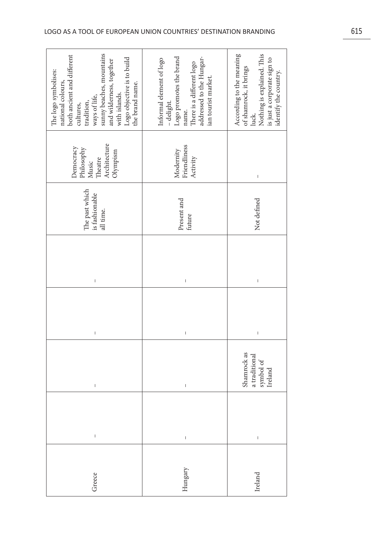$\sqrt{ }$ 

| Greece  | $\bar{1}$   | $\mathsf I$                                          | $\begin{array}{c} \rule{0pt}{2ex} \rule{0pt}{2ex} \rule{0pt}{2ex} \rule{0pt}{2ex} \rule{0pt}{2ex} \rule{0pt}{2ex} \rule{0pt}{2ex} \rule{0pt}{2ex} \rule{0pt}{2ex} \rule{0pt}{2ex} \rule{0pt}{2ex} \rule{0pt}{2ex} \rule{0pt}{2ex} \rule{0pt}{2ex} \rule{0pt}{2ex} \rule{0pt}{2ex} \rule{0pt}{2ex} \rule{0pt}{2ex} \rule{0pt}{2ex} \rule{0pt}{2ex} \rule{0pt}{2ex} \rule{0pt}{2ex} \rule{0pt}{2ex} \rule{0pt}{$ | $\overline{1}$ | The past which<br>is fashionable<br>all time. | Architecture<br>Democracy<br>Philosophy<br>Olympism<br>Music<br>Theatre                                                                                                                                                                                                                                                                                                                                        | sunny beaches, mountains<br>both ancient and different<br>Logo objective is to build<br>and wilderness, together<br>with islands.<br>The logo symbolises:<br>national colours,<br>the brand name.<br>ways of life,<br>tradition,<br>cultures, |
|---------|-------------|------------------------------------------------------|----------------------------------------------------------------------------------------------------------------------------------------------------------------------------------------------------------------------------------------------------------------------------------------------------------------------------------------------------------------------------------------------------------------|----------------|-----------------------------------------------|----------------------------------------------------------------------------------------------------------------------------------------------------------------------------------------------------------------------------------------------------------------------------------------------------------------------------------------------------------------------------------------------------------------|-----------------------------------------------------------------------------------------------------------------------------------------------------------------------------------------------------------------------------------------------|
| Hungary | L           | I.                                                   | I                                                                                                                                                                                                                                                                                                                                                                                                              | I.             | Present and<br>future                         | Friendliness<br>Modernity<br>Activity                                                                                                                                                                                                                                                                                                                                                                          | Logo promotes the brand<br>addressed to the Hungar-<br>Informal element of logo<br>There is a different logo<br>ian tourist market.<br>- delight.<br>name.                                                                                    |
| Ireland | $\mathsf I$ | Shamrock as<br>a traditional<br>symbol of<br>Ireland | $\begin{array}{c} \rule{0pt}{2.5ex} \rule{0pt}{2.5ex} \rule{0pt}{2.5ex} \rule{0pt}{2.5ex} \rule{0pt}{2.5ex} \rule{0pt}{2.5ex} \rule{0pt}{2.5ex} \rule{0pt}{2.5ex} \rule{0pt}{2.5ex} \rule{0pt}{2.5ex} \rule{0pt}{2.5ex} \rule{0pt}{2.5ex} \rule{0pt}{2.5ex} \rule{0pt}{2.5ex} \rule{0pt}{2.5ex} \rule{0pt}{2.5ex} \rule{0pt}{2.5ex} \rule{0pt}{2.5ex} \rule{0pt}{2.5ex} \rule{0$                               | $\bar{\rm I}$  | Not defined                                   | $\begin{array}{c} \rule{0pt}{2ex} \rule{0pt}{2ex} \rule{0pt}{2ex} \rule{0pt}{2ex} \rule{0pt}{2ex} \rule{0pt}{2ex} \rule{0pt}{2ex} \rule{0pt}{2ex} \rule{0pt}{2ex} \rule{0pt}{2ex} \rule{0pt}{2ex} \rule{0pt}{2ex} \rule{0pt}{2ex} \rule{0pt}{2ex} \rule{0pt}{2ex} \rule{0pt}{2ex} \rule{0pt}{2ex} \rule{0pt}{2ex} \rule{0pt}{2ex} \rule{0pt}{2ex} \rule{0pt}{2ex} \rule{0pt}{2ex} \rule{0pt}{2ex} \rule{0pt}{$ | According to the meaning<br>of shamrock, it brings<br>Nothing is explained. This<br>is just a corporate sign to<br>identify the country.<br>luck.                                                                                             |

 $\overline{\phantom{a}}$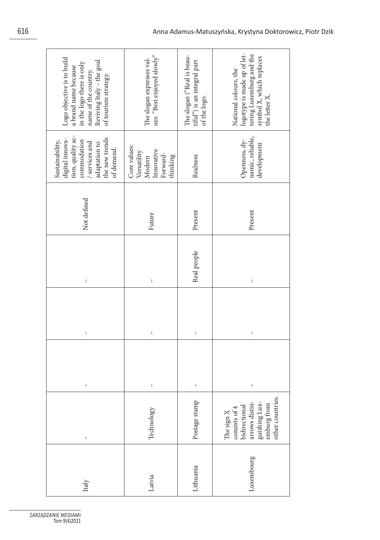| Logo objective is to build<br>Reviving Italy - the goal<br>in the logo there is only<br>a brand name because<br>name of the country.<br>of tourism strategy.                                                                                                                                                                                                                     | ues: "Best enjoyed slowly"<br>The slogan expresses val-                                                                                                                                                                                                                                                                                                                          | The slogan ("Real is beau-<br>$\mathrm{tful}^{\mathrm{p}}$ ) is an integral part<br>of the logo. | logotype is made up of let-<br>tering Luxemburg and the<br>symbol X, which replaces<br>National colours, the<br>the letter X. |
|----------------------------------------------------------------------------------------------------------------------------------------------------------------------------------------------------------------------------------------------------------------------------------------------------------------------------------------------------------------------------------|----------------------------------------------------------------------------------------------------------------------------------------------------------------------------------------------------------------------------------------------------------------------------------------------------------------------------------------------------------------------------------|--------------------------------------------------------------------------------------------------|-------------------------------------------------------------------------------------------------------------------------------|
| tion, quality ac-<br>the new trends<br>digital innova-<br>commodation<br>Sustainability,<br>/ services and<br>adaptation to<br>of demand.                                                                                                                                                                                                                                        | Core values:<br>Innovative<br>Versatility<br>Forward-<br>thinking<br>Modern                                                                                                                                                                                                                                                                                                      | Realness                                                                                         | namic, reliable,<br>Openness, dy-<br>development                                                                              |
| Not defined                                                                                                                                                                                                                                                                                                                                                                      | Future                                                                                                                                                                                                                                                                                                                                                                           | Present                                                                                          | Present                                                                                                                       |
| $\begin{array}{c} \rule{0pt}{2.5ex} \rule{0pt}{2.5ex} \rule{0pt}{2.5ex} \rule{0pt}{2.5ex} \rule{0pt}{2.5ex} \rule{0pt}{2.5ex} \rule{0pt}{2.5ex} \rule{0pt}{2.5ex} \rule{0pt}{2.5ex} \rule{0pt}{2.5ex} \rule{0pt}{2.5ex} \rule{0pt}{2.5ex} \rule{0pt}{2.5ex} \rule{0pt}{2.5ex} \rule{0pt}{2.5ex} \rule{0pt}{2.5ex} \rule{0pt}{2.5ex} \rule{0pt}{2.5ex} \rule{0pt}{2.5ex} \rule{0$ | $\begin{array}{c} \rule{0pt}{2.5ex} \rule{0pt}{2.5ex} \rule{0pt}{2.5ex} \rule{0pt}{2.5ex} \rule{0pt}{2.5ex} \rule{0pt}{2.5ex} \rule{0pt}{2.5ex} \rule{0pt}{2.5ex} \rule{0pt}{2.5ex} \rule{0pt}{2.5ex} \rule{0pt}{2.5ex} \rule{0pt}{2.5ex} \rule{0pt}{2.5ex} \rule{0pt}{2.5ex} \rule{0pt}{2.5ex} \rule{0pt}{2.5ex} \rule{0pt}{2.5ex} \rule{0pt}{2.5ex} \rule{0pt}{2.5ex} \rule{0$ | Real people                                                                                      | I                                                                                                                             |
| $\begin{array}{c} \rule{0pt}{2.5ex} \rule{0pt}{2.5ex} \rule{0pt}{2.5ex} \rule{0pt}{2.5ex} \rule{0pt}{2.5ex} \rule{0pt}{2.5ex} \rule{0pt}{2.5ex} \rule{0pt}{2.5ex} \rule{0pt}{2.5ex} \rule{0pt}{2.5ex} \rule{0pt}{2.5ex} \rule{0pt}{2.5ex} \rule{0pt}{2.5ex} \rule{0pt}{2.5ex} \rule{0pt}{2.5ex} \rule{0pt}{2.5ex} \rule{0pt}{2.5ex} \rule{0pt}{2.5ex} \rule{0pt}{2.5ex} \rule{0$ | $\overline{1}$                                                                                                                                                                                                                                                                                                                                                                   | $\mathsf{I}$                                                                                     | $\mathsf{I}$                                                                                                                  |
| I                                                                                                                                                                                                                                                                                                                                                                                | $\begin{array}{c} \rule{0pt}{2.5ex} \rule{0pt}{2.5ex} \rule{0pt}{2.5ex} \rule{0pt}{2.5ex} \rule{0pt}{2.5ex} \rule{0pt}{2.5ex} \rule{0pt}{2.5ex} \rule{0pt}{2.5ex} \rule{0pt}{2.5ex} \rule{0pt}{2.5ex} \rule{0pt}{2.5ex} \rule{0pt}{2.5ex} \rule{0pt}{2.5ex} \rule{0pt}{2.5ex} \rule{0pt}{2.5ex} \rule{0pt}{2.5ex} \rule{0pt}{2.5ex} \rule{0pt}{2.5ex} \rule{0pt}{2.5ex} \rule{0$ | $\vert$                                                                                          | I                                                                                                                             |
| $\begin{array}{c} \rule{0pt}{2.5ex} \rule{0pt}{2.5ex} \rule{0pt}{2.5ex} \rule{0pt}{2.5ex} \rule{0pt}{2.5ex} \rule{0pt}{2.5ex} \rule{0pt}{2.5ex} \rule{0pt}{2.5ex} \rule{0pt}{2.5ex} \rule{0pt}{2.5ex} \rule{0pt}{2.5ex} \rule{0pt}{2.5ex} \rule{0pt}{2.5ex} \rule{0pt}{2.5ex} \rule{0pt}{2.5ex} \rule{0pt}{2.5ex} \rule{0pt}{2.5ex} \rule{0pt}{2.5ex} \rule{0pt}{2.5ex} \rule{0$ | Technology                                                                                                                                                                                                                                                                                                                                                                       | Postage stamp                                                                                    | other countries.<br>arrows distin-<br>guishing Lux-<br>emburg from<br>bidirectional<br>consists of 4<br>The sign X            |
| Italy                                                                                                                                                                                                                                                                                                                                                                            | Latvia                                                                                                                                                                                                                                                                                                                                                                           | Lithuania                                                                                        | Luxembourg                                                                                                                    |

ZARZĄDZANIE MEDIAMI Tom 9(4)2021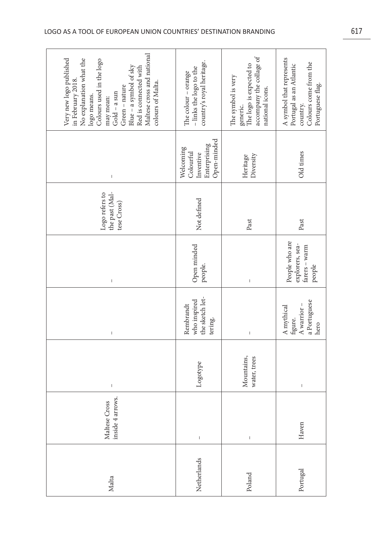| Malta       | inside 4 arrows.<br>Maltese Cross                                                                                                                                                                                                                                                                                                                                                | I                          | $\mathsf I$                                                    | $\begin{array}{c} \rule{0pt}{2.5ex} \rule{0pt}{2.5ex} \rule{0pt}{2.5ex} \rule{0pt}{2.5ex} \rule{0pt}{2.5ex} \rule{0pt}{2.5ex} \rule{0pt}{2.5ex} \rule{0pt}{2.5ex} \rule{0pt}{2.5ex} \rule{0pt}{2.5ex} \rule{0pt}{2.5ex} \rule{0pt}{2.5ex} \rule{0pt}{2.5ex} \rule{0pt}{2.5ex} \rule{0pt}{2.5ex} \rule{0pt}{2.5ex} \rule{0pt}{2.5ex} \rule{0pt}{2.5ex} \rule{0pt}{2.5ex} \rule{0$ | the past (Mal-<br>Logo refers to<br>tese Cross) | $\begin{array}{c} \rule{0pt}{2.5ex} \rule{0pt}{2.5ex} \rule{0pt}{2.5ex} \rule{0pt}{2.5ex} \rule{0pt}{2.5ex} \rule{0pt}{2.5ex} \rule{0pt}{2.5ex} \rule{0pt}{2.5ex} \rule{0pt}{2.5ex} \rule{0pt}{2.5ex} \rule{0pt}{2.5ex} \rule{0pt}{2.5ex} \rule{0pt}{2.5ex} \rule{0pt}{2.5ex} \rule{0pt}{2.5ex} \rule{0pt}{2.5ex} \rule{0pt}{2.5ex} \rule{0pt}{2.5ex} \rule{0pt}{2.5ex} \rule{0$ | Maltese cross and national<br>Very new logo published<br>No explanation what the<br>Colours used in the logo<br>Blue - a symbol of sky<br>Red is connected with<br>in February 2018.<br>colours of Malta.<br>Green - nature<br>$Gold - a sun$<br>logo means.<br>may mean: |
|-------------|----------------------------------------------------------------------------------------------------------------------------------------------------------------------------------------------------------------------------------------------------------------------------------------------------------------------------------------------------------------------------------|----------------------------|----------------------------------------------------------------|----------------------------------------------------------------------------------------------------------------------------------------------------------------------------------------------------------------------------------------------------------------------------------------------------------------------------------------------------------------------------------|-------------------------------------------------|----------------------------------------------------------------------------------------------------------------------------------------------------------------------------------------------------------------------------------------------------------------------------------------------------------------------------------------------------------------------------------|---------------------------------------------------------------------------------------------------------------------------------------------------------------------------------------------------------------------------------------------------------------------------|
| Netherlands | $\sf I$                                                                                                                                                                                                                                                                                                                                                                          | Logotype                   | the sketch let-<br>who inspired<br>Rembrandt<br>tering.        | Open minded<br>people.                                                                                                                                                                                                                                                                                                                                                           | Not defined                                     | Open-minded<br>Enterprising<br>Welcoming<br>Colourful<br>Inventive                                                                                                                                                                                                                                                                                                               | country's royal heritage.<br>- links the logo to the<br>The colour - orange                                                                                                                                                                                               |
| Poland      | $\begin{array}{c} \rule{0pt}{2.5ex} \rule{0pt}{2.5ex} \rule{0pt}{2.5ex} \rule{0pt}{2.5ex} \rule{0pt}{2.5ex} \rule{0pt}{2.5ex} \rule{0pt}{2.5ex} \rule{0pt}{2.5ex} \rule{0pt}{2.5ex} \rule{0pt}{2.5ex} \rule{0pt}{2.5ex} \rule{0pt}{2.5ex} \rule{0pt}{2.5ex} \rule{0pt}{2.5ex} \rule{0pt}{2.5ex} \rule{0pt}{2.5ex} \rule{0pt}{2.5ex} \rule{0pt}{2.5ex} \rule{0pt}{2.5ex} \rule{0$ | Mountains,<br>water, trees | $\mathsf I$                                                    | $\begin{array}{c} \rule{0pt}{2.5ex} \rule{0pt}{2.5ex} \rule{0pt}{2.5ex} \rule{0pt}{2.5ex} \rule{0pt}{2.5ex} \rule{0pt}{2.5ex} \rule{0pt}{2.5ex} \rule{0pt}{2.5ex} \rule{0pt}{2.5ex} \rule{0pt}{2.5ex} \rule{0pt}{2.5ex} \rule{0pt}{2.5ex} \rule{0pt}{2.5ex} \rule{0pt}{2.5ex} \rule{0pt}{2.5ex} \rule{0pt}{2.5ex} \rule{0pt}{2.5ex} \rule{0pt}{2.5ex} \rule{0pt}{2.5ex} \rule{0$ | Past                                            | Diversity<br>Heritage                                                                                                                                                                                                                                                                                                                                                            | accompany the collage of<br>generic.<br>The logo is expected to<br>The symbol is very<br>national icons.                                                                                                                                                                  |
| Portugal    | Haven                                                                                                                                                                                                                                                                                                                                                                            | I                          | a Portuguese<br>A warrior $-$<br>A mythical<br>figure.<br>hero | People who are<br>explorers, sea-<br>$fares - warm$<br>people                                                                                                                                                                                                                                                                                                                    | Past                                            | Old times                                                                                                                                                                                                                                                                                                                                                                        | A symbol that represents<br>Colours come from the<br>Portugal as an Atlantic<br>Portuguese flag.<br>country.                                                                                                                                                              |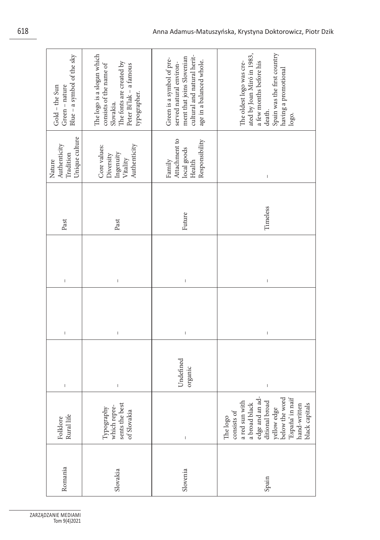| Blue - a symbol of the sky<br>Green - nature<br>Gold - the Sun                                                                                                                                                                                                                                                                                                                   | The logo is a slogan which<br>The fonts are created by<br>consists of the name of<br>Peter Bi'lak - a famous<br>typographer.<br>Slovakia. | cultural and natural herit-<br>ment that joins Slovenian<br>Green is a symbol of pre-<br>age in a balanced whole.<br>served natural environ-                                                                                                                                                                                                                                     | Spain was the first country<br>ated by Joan Miró in 1983,<br>The oldest logo was cre-<br>a few months before his<br>having a promotional<br>death.<br>logo.                                                                                                                                                                                                                      |  |
|----------------------------------------------------------------------------------------------------------------------------------------------------------------------------------------------------------------------------------------------------------------------------------------------------------------------------------------------------------------------------------|-------------------------------------------------------------------------------------------------------------------------------------------|----------------------------------------------------------------------------------------------------------------------------------------------------------------------------------------------------------------------------------------------------------------------------------------------------------------------------------------------------------------------------------|----------------------------------------------------------------------------------------------------------------------------------------------------------------------------------------------------------------------------------------------------------------------------------------------------------------------------------------------------------------------------------|--|
| Unique culture<br>Authenticity<br>Tradition<br>Nature                                                                                                                                                                                                                                                                                                                            | Authenticity<br>Core values:<br>Ingenuity<br>Diversity<br>Vitality                                                                        | Attachment to<br>Responsibility<br>local goods<br>Family<br>Health                                                                                                                                                                                                                                                                                                               | I                                                                                                                                                                                                                                                                                                                                                                                |  |
| Past                                                                                                                                                                                                                                                                                                                                                                             | Past                                                                                                                                      | Future                                                                                                                                                                                                                                                                                                                                                                           | Timeless                                                                                                                                                                                                                                                                                                                                                                         |  |
| $\begin{array}{c} \rule{0pt}{2.5ex} \rule{0pt}{2.5ex} \rule{0pt}{2.5ex} \rule{0pt}{2.5ex} \rule{0pt}{2.5ex} \rule{0pt}{2.5ex} \rule{0pt}{2.5ex} \rule{0pt}{2.5ex} \rule{0pt}{2.5ex} \rule{0pt}{2.5ex} \rule{0pt}{2.5ex} \rule{0pt}{2.5ex} \rule{0pt}{2.5ex} \rule{0pt}{2.5ex} \rule{0pt}{2.5ex} \rule{0pt}{2.5ex} \rule{0pt}{2.5ex} \rule{0pt}{2.5ex} \rule{0pt}{2.5ex} \rule{0$ | $\,$ $\,$                                                                                                                                 | $\mathsf I$                                                                                                                                                                                                                                                                                                                                                                      | $\begin{array}{c} \rule{0pt}{2.5ex} \rule{0pt}{2.5ex} \rule{0pt}{2.5ex} \rule{0pt}{2.5ex} \rule{0pt}{2.5ex} \rule{0pt}{2.5ex} \rule{0pt}{2.5ex} \rule{0pt}{2.5ex} \rule{0pt}{2.5ex} \rule{0pt}{2.5ex} \rule{0pt}{2.5ex} \rule{0pt}{2.5ex} \rule{0pt}{2.5ex} \rule{0pt}{2.5ex} \rule{0pt}{2.5ex} \rule{0pt}{2.5ex} \rule{0pt}{2.5ex} \rule{0pt}{2.5ex} \rule{0pt}{2.5ex} \rule{0$ |  |
| $\begin{array}{c} \hline \end{array}$                                                                                                                                                                                                                                                                                                                                            | $\mathsf I$                                                                                                                               | $\begin{array}{c} \rule{0pt}{2.5ex} \rule{0pt}{2.5ex} \rule{0pt}{2.5ex} \rule{0pt}{2.5ex} \rule{0pt}{2.5ex} \rule{0pt}{2.5ex} \rule{0pt}{2.5ex} \rule{0pt}{2.5ex} \rule{0pt}{2.5ex} \rule{0pt}{2.5ex} \rule{0pt}{2.5ex} \rule{0pt}{2.5ex} \rule{0pt}{2.5ex} \rule{0pt}{2.5ex} \rule{0pt}{2.5ex} \rule{0pt}{2.5ex} \rule{0pt}{2.5ex} \rule{0pt}{2.5ex} \rule{0pt}{2.5ex} \rule{0$ | $\mathsf{I}$                                                                                                                                                                                                                                                                                                                                                                     |  |
| $\begin{array}{c} \rule{0pt}{2.5ex} \rule{0pt}{2.5ex} \rule{0pt}{2.5ex} \rule{0pt}{2.5ex} \rule{0pt}{2.5ex} \rule{0pt}{2.5ex} \rule{0pt}{2.5ex} \rule{0pt}{2.5ex} \rule{0pt}{2.5ex} \rule{0pt}{2.5ex} \rule{0pt}{2.5ex} \rule{0pt}{2.5ex} \rule{0pt}{2.5ex} \rule{0pt}{2.5ex} \rule{0pt}{2.5ex} \rule{0pt}{2.5ex} \rule{0pt}{2.5ex} \rule{0pt}{2.5ex} \rule{0pt}{2.5ex} \rule{0$ | I                                                                                                                                         | Undefined<br>organic                                                                                                                                                                                                                                                                                                                                                             | I                                                                                                                                                                                                                                                                                                                                                                                |  |
| Rural life<br>Folklore                                                                                                                                                                                                                                                                                                                                                           | sents the best<br>$\begin{array}{c}\text{Typography} \\\text{which repre-} \end{array}$<br>of Slovakia                                    | $\begin{array}{c} \rule{0pt}{2.5ex} \rule{0pt}{2.5ex} \rule{0pt}{2.5ex} \rule{0pt}{2.5ex} \rule{0pt}{2.5ex} \rule{0pt}{2.5ex} \rule{0pt}{2.5ex} \rule{0pt}{2.5ex} \rule{0pt}{2.5ex} \rule{0pt}{2.5ex} \rule{0pt}{2.5ex} \rule{0pt}{2.5ex} \rule{0pt}{2.5ex} \rule{0pt}{2.5ex} \rule{0pt}{2.5ex} \rule{0pt}{2.5ex} \rule{0pt}{2.5ex} \rule{0pt}{2.5ex} \rule{0pt}{2.5ex} \rule{0$ | edge and an ad-<br>ditional broad<br>yellow edge<br>below the word<br>España' in naif<br>a red sun with<br>a broad black<br>black capitals<br>hand-written<br>consists of<br>The logo                                                                                                                                                                                            |  |
| Romania                                                                                                                                                                                                                                                                                                                                                                          | Slovakia                                                                                                                                  | Slovenia                                                                                                                                                                                                                                                                                                                                                                         | Spain                                                                                                                                                                                                                                                                                                                                                                            |  |
| DZANIE MEDIAMI<br>Tom 9(4)2021                                                                                                                                                                                                                                                                                                                                                   |                                                                                                                                           |                                                                                                                                                                                                                                                                                                                                                                                  |                                                                                                                                                                                                                                                                                                                                                                                  |  |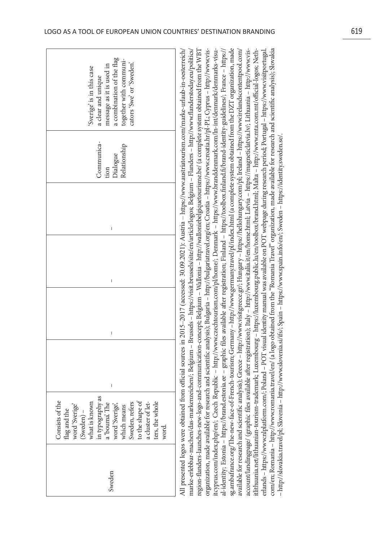| a combination of the flag<br>together with communi-<br>cators 'Swe' or 'Sweden'.<br>message as it is used in<br>'Sverige' is in this case<br>a clear and unique                                                                               | al-identity; Estonia – https://brand.estonia.ee – graphic files available after registration; Finland – https://toolbox.finland.fi/brand-identity-guidelines/; France – https://<br>sg.ambafrance.org/The-new-face-of-French-tourism; Germany – http://www.germany.travel/pl/index.html (a complete system obtained from the DZT organization, made<br>available for research and scientific analysis); Greece – http://www.visitgreece.gr/; Hungary – https://hellohungary.com/pl; Ireland – https://www.irelandscontentpool.com/<br>All presented logos were obtained from official sources in 2015-2017 (accessed: 30.09.2021): Austria - https://www.austriatourism.com/marke-urlaub-in-oesterreich/<br>marke-erlebbar-machen/das-markenzeichen/; Belgium – Brussels – https://visit.brussels/site/en/article/logos; Belgium – Flanders – http://www.flanderstoday.eu/politics/<br>region-flanders-launches-new-logo-and-communication-concept; Belgium – Wallonia – http://walloniebelgiquetourisme.be/ (a complete system obtained from the WBT<br>itcyprus.com/index.php/en/; Czech Republic - http://www.czechtourism.com/pl/home/; Denmark - https://www.branddenmark.com/In-int/denmark/denmarks-visu-<br>account/landingpage/ (graphic files available after registration); Italy – http://www.italia.it/en/home.html; Latvia – https://magneticlatvia.lv/; Lithuania – http://www.vis-<br>itlithuania.net/lithuanian-tourism-trademark; L<br>organization, made available for research and scientific analysis); Bulgaria - http://bulgariatravel.org/en; Croatia - https://www.croatia.hr/pl-PL; Cyprus - http://www.vis-<br>erlands – https://www.nlplatform.com/; Poland – POT visual identity manual was available on POT webpage during research period; Portugal – https://www.visitportugal.<br>com/en; Romania – http://www.romania.travel/en/ (a logo obtained from the "Romania Travel" organization, made available for research and scientific analysis); Slovakia |
|-----------------------------------------------------------------------------------------------------------------------------------------------------------------------------------------------------------------------------------------------|--------------------------------------------------------------------------------------------------------------------------------------------------------------------------------------------------------------------------------------------------------------------------------------------------------------------------------------------------------------------------------------------------------------------------------------------------------------------------------------------------------------------------------------------------------------------------------------------------------------------------------------------------------------------------------------------------------------------------------------------------------------------------------------------------------------------------------------------------------------------------------------------------------------------------------------------------------------------------------------------------------------------------------------------------------------------------------------------------------------------------------------------------------------------------------------------------------------------------------------------------------------------------------------------------------------------------------------------------------------------------------------------------------------------------------------------------------------------------------------------------------------------------------------------------------------------------------------------------------------------------------------------------------------------------------------------------------------------------------------------------------------------------------------------------------------------------------------------------------------------------------------------------------------------------------------------------------------------------------------------|
| Communica-<br>Relationship<br>Dialogue<br>tion                                                                                                                                                                                                |                                                                                                                                                                                                                                                                                                                                                                                                                                                                                                                                                                                                                                                                                                                                                                                                                                                                                                                                                                                                                                                                                                                                                                                                                                                                                                                                                                                                                                                                                                                                                                                                                                                                                                                                                                                                                                                                                                                                                                                            |
| I                                                                                                                                                                                                                                             | - http://slovakia.travel/pl; Slovenia - http://www.slovenia.si/ifs/; Spain - https://www.spain.info/en/; Sweden - https://identity.sweden.se/.                                                                                                                                                                                                                                                                                                                                                                                                                                                                                                                                                                                                                                                                                                                                                                                                                                                                                                                                                                                                                                                                                                                                                                                                                                                                                                                                                                                                                                                                                                                                                                                                                                                                                                                                                                                                                                             |
| I                                                                                                                                                                                                                                             |                                                                                                                                                                                                                                                                                                                                                                                                                                                                                                                                                                                                                                                                                                                                                                                                                                                                                                                                                                                                                                                                                                                                                                                                                                                                                                                                                                                                                                                                                                                                                                                                                                                                                                                                                                                                                                                                                                                                                                                            |
| $\begin{array}{c} \end{array}$                                                                                                                                                                                                                |                                                                                                                                                                                                                                                                                                                                                                                                                                                                                                                                                                                                                                                                                                                                                                                                                                                                                                                                                                                                                                                                                                                                                                                                                                                                                                                                                                                                                                                                                                                                                                                                                                                                                                                                                                                                                                                                                                                                                                                            |
| I                                                                                                                                                                                                                                             |                                                                                                                                                                                                                                                                                                                                                                                                                                                                                                                                                                                                                                                                                                                                                                                                                                                                                                                                                                                                                                                                                                                                                                                                                                                                                                                                                                                                                                                                                                                                                                                                                                                                                                                                                                                                                                                                                                                                                                                            |
| in typography as<br>a 'bouma'. The<br>Consists of the<br>what is known<br>to the shape of<br>a cluster of let-<br>ters, the whole<br>which means<br>Sweden, refers<br>word 'Sverige'<br>word 'Sverige'<br>flag and the<br>(Sweden) -<br>word. |                                                                                                                                                                                                                                                                                                                                                                                                                                                                                                                                                                                                                                                                                                                                                                                                                                                                                                                                                                                                                                                                                                                                                                                                                                                                                                                                                                                                                                                                                                                                                                                                                                                                                                                                                                                                                                                                                                                                                                                            |
| Sweden                                                                                                                                                                                                                                        |                                                                                                                                                                                                                                                                                                                                                                                                                                                                                                                                                                                                                                                                                                                                                                                                                                                                                                                                                                                                                                                                                                                                                                                                                                                                                                                                                                                                                                                                                                                                                                                                                                                                                                                                                                                                                                                                                                                                                                                            |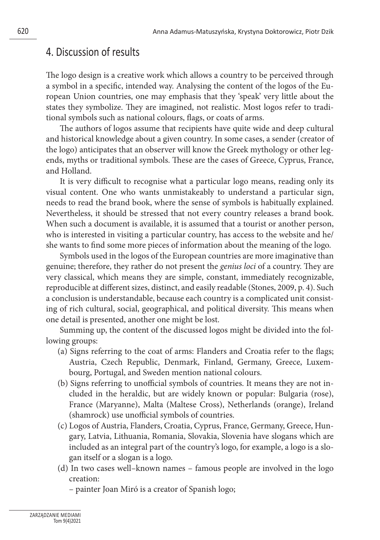# 4. Discussion of results

The logo design is a creative work which allows a country to be perceived through a symbol in a specific, intended way. Analysing the content of the logos of the European Union countries, one may emphasis that they 'speak' very little about the states they symbolize. They are imagined, not realistic. Most logos refer to traditional symbols such as national colours, flags, or coats of arms.

The authors of logos assume that recipients have quite wide and deep cultural and historical knowledge about a given country. In some cases, a sender (creator of the logo) anticipates that an observer will know the Greek mythology or other legends, myths or traditional symbols. These are the cases of Greece, Cyprus, France, and Holland.

It is very difficult to recognise what a particular logo means, reading only its visual content. One who wants unmistakeably to understand a particular sign, needs to read the brand book, where the sense of symbols is habitually explained. Nevertheless, it should be stressed that not every country releases a brand book. When such a document is available, it is assumed that a tourist or another person, who is interested in visiting a particular country, has access to the website and he/ she wants to find some more pieces of information about the meaning of the logo.

Symbols used in the logos of the European countries are more imaginative than genuine; therefore, they rather do not present the *genius loci* of a country. They are very classical, which means they are simple, constant, immediately recognizable, reproducible at different sizes, distinct, and easily readable (Stones, 2009, p. 4). Such a conclusion is understandable, because each country is a complicated unit consisting of rich cultural, social, geographical, and political diversity. This means when one detail is presented, another one might be lost.

Summing up, the content of the discussed logos might be divided into the following groups:

- (a) Signs referring to the coat of arms: Flanders and Croatia refer to the flags; Austria, Czech Republic, Denmark, Finland, Germany, Greece, Luxembourg, Portugal, and Sweden mention national colours.
- (b) Signs referring to unofficial symbols of countries. It means they are not included in the heraldic, but are widely known or popular: Bulgaria (rose), France (Maryanne), Malta (Maltese Cross), Netherlands (orange), Ireland (shamrock) use unofficial symbols of countries.
- (c) Logos of Austria, Flanders, Croatia, Cyprus, France, Germany, Greece, Hungary, Latvia, Lithuania, Romania, Slovakia, Slovenia have slogans which are included as an integral part of the country's logo, for example, a logo is a slogan itself or a slogan is a logo.
- (d) In two cases well–known names famous people are involved in the logo creation:

– painter Joan Miró is a creator of Spanish logo;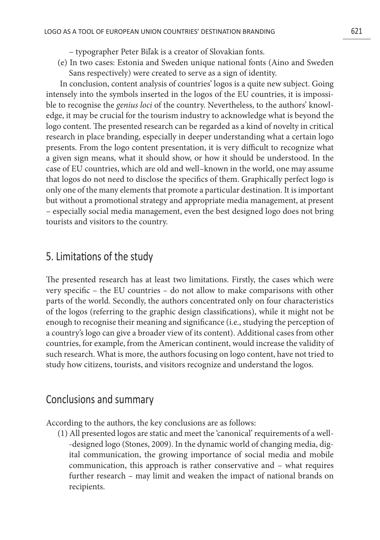- typographer Peter Biľak is a creator of Slovakian fonts.
- (e) In two cases: Estonia and Sweden unique national fonts (Aino and Sweden Sans respectively) were created to serve as a sign of identity.

In conclusion, content analysis of countries' logos is a quite new subject. Going intensely into the symbols inserted in the logos of the EU countries, it is impossible to recognise the *genius loci* of the country. Nevertheless, to the authors' knowledge, it may be crucial for the tourism industry to acknowledge what is beyond the logo content. The presented research can be regarded as a kind of novelty in critical research in place branding, especially in deeper understanding what a certain logo presents. From the logo content presentation, it is very difficult to recognize what a given sign means, what it should show, or how it should be understood. In the case of EU countries, which are old and well–known in the world, one may assume that logos do not need to disclose the specifics of them. Graphically perfect logo is only one of the many elements that promote a particular destination. It is important but without a promotional strategy and appropriate media management, at present – especially social media management, even the best designed logo does not bring tourists and visitors to the country.

## 5. Limitations of the study

The presented research has at least two limitations. Firstly, the cases which were very specific – the EU countries – do not allow to make comparisons with other parts of the world. Secondly, the authors concentrated only on four characteristics of the logos (referring to the graphic design classifications), while it might not be enough to recognise their meaning and significance (i.e., studying the perception of a country's logo can give a broader view of its content). Additional cases from other countries, for example, from the American continent, would increase the validity of such research. What is more, the authors focusing on logo content, have not tried to study how citizens, tourists, and visitors recognize and understand the logos.

## Conclusions and summary

According to the authors, the key conclusions are as follows:

(1) All presented logos are static and meet the 'canonical' requirements of a well- -designed logo (Stones, 2009). In the dynamic world of changing media, digital communication, the growing importance of social media and mobile communication, this approach is rather conservative and – what requires further research – may limit and weaken the impact of national brands on recipients.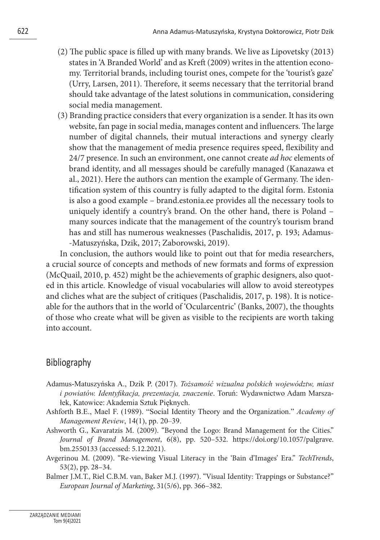- (2) The public space is filled up with many brands. We live as Lipovetsky (2013) states in 'A Branded World' and as Kreft (2009) writes in the attention economy. Territorial brands, including tourist ones, compete for the 'tourist's gaze' (Urry, Larsen, 2011). Therefore, it seems necessary that the territorial brand should take advantage of the latest solutions in communication, considering social media management.
- (3) Branding practice considers that every organization is a sender. It has its own website, fan page in social media, manages content and influencers. The large number of digital channels, their mutual interactions and synergy clearly show that the management of media presence requires speed, flexibility and 24/7 presence. In such an environment, one cannot create *ad hoc* elements of brand identity, and all messages should be carefully managed (Kanazawa et al., 2021). Here the authors can mention the example of Germany. The identification system of this country is fully adapted to the digital form. Estonia is also a good example – brand.estonia.ee provides all the necessary tools to uniquely identify a country's brand. On the other hand, there is Poland – many sources indicate that the management of the country's tourism brand has and still has numerous weaknesses (Paschalidis, 2017, p. 193; Adamus- -Matuszyńska, Dzik, 2017; Zaborowski, 2019).

In conclusion, the authors would like to point out that for media researchers, a crucial source of concepts and methods of new formats and forms of expression (McQuail, 2010, p. 452) might be the achievements of graphic designers, also quoted in this article. Knowledge of visual vocabularies will allow to avoid stereotypes and cliches what are the subject of critiques (Paschalidis, 2017, p. 198). It is noticeable for the authors that in the world of 'Ocularcentric' (Banks, 2007), the thoughts of those who create what will be given as visible to the recipients are worth taking into account.

## Bibliography

- Adamus-Matuszyńska A., Dzik P. (2017). *Tożsamość wizualna polskich województw, miast i powiatów. Identyfikacja, prezentacja, znaczenie*. Toruń: Wydawnictwo Adam Marszałek, Katowice: Akademia Sztuk Pięknych.
- Ashforth B.E., Mael F. (1989). "Social Identity Theory and the Organization." *Academy of Management Review*, 14(1), pp. 20–39.
- Ashworth G., Kavaratzis M. (2009). "Beyond the Logo: Brand Management for the Cities." *Journal of Brand Management*, 6(8), pp. 520–532. https://doi.org/10.1057/palgrave. bm.2550133 (accessed: 5.12.2021).
- Avgerinou M. (2009). "Re-viewing Visual Literacy in the 'Bain d'Images' Era." *TechTrends*, 53(2), pp. 28–34.
- Balmer J.M.T., Riel C.B.M. van, Baker M.J. (1997). "Visual Identity: Trappings or Substance?" *European Journal of Marketing*, 31(5/6), pp. 366–382.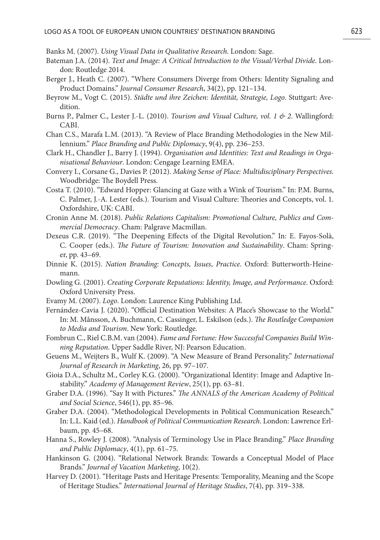Banks M. (2007). *Using Visual Data in Qualitative Research*. London: Sage.

- Bateman J.A. (2014). *Text and Image: A Critical Introduction to the Visual/Verbal Divide*. London: Routledge 2014.
- Berger J., Heath C. (2007). "Where Consumers Diverge from Others: Identity Signaling and Product Domains." *Journal Consumer Research*, 34(2), pp. 121–134.
- Beyrow M., Vogt C. (2015). *Städte und ihre Zeichen: Identität, Strategie, Logo*. Stuttgart: Avedition.
- Burns P., Palmer C., Lester J.-L. (2010). *Tourism and Visual Culture, vol. 1 & 2*. Wallingford: CABI.
- Chan C.S., Marafa L.M. (2013). "A Review of Place Branding Methodologies in the New Millennium." *Place Branding and Public Diplomacy*, 9(4), pp. 236–253.
- Clark H., Chandler J., Barry J. (1994). *Organisation and Identities: Text and Readings in Organisational Behaviour*. London: Cengage Learning EMEA.
- Convery I., Corsane G., Davies P. (2012). *Making Sense of Place: Multidisciplinary Perspectives*. Woodbridge: The Boydell Press.
- Costa T. (2010). "Edward Hopper: Glancing at Gaze with a Wink of Tourism." In: P.M. Burns, C. Palmer, J.-A. Lester (eds.). Tourism and Visual Culture: Theories and Concepts, vol. 1. Oxfordshire, UK: CABI.
- Cronin Anne M. (2018). *Public Relations Capitalism: Promotional Culture, Publics and Commercial Democracy*. Cham: Palgrave Macmillan.
- Dexeus C.R. (2019). "The Deepening Effects of the Digital Revolution." In: E. Fayos-Solà, C. Cooper (eds.). *The Future of Tourism: Innovation and Sustainability*. Cham: Springer, pp. 43–69.
- Dinnie K. (2015). *Nation Branding: Concepts, Issues*, *Practice*. Oxford: Butterworth-Heinemann.
- Dowling G. (2001). *Creating Corporate Reputations: Identity, Image, and Performance*. Oxford: Oxford University Press.
- Evamy M. (2007). *Logo*. London: Laurence King Publishing Ltd.
- Fernández-Cavia J. (2020). "Official Destination Websites: A Place's Showcase to the World." In: M. Månsson, A. Buchmann, C. Cassinger, L. Eskilson (eds.). *The Routledge Companion to Media and Tourism*. New York: Routledge.
- Fombrun C., Riel C.B.M. van (2004). *Fame and Fortune: How Successful Companies Build Winning Reputation*. Upper Saddle River, NJ: Pearson Education.
- Geuens M., Weijters B., Wulf K. (2009). "A New Measure of Brand Personality." *International Journal of Research in Marketing*, 26, pp. 97–107.
- Gioia D.A., Schultz M., Corley K.G. (2000). "Organizational Identity: Image and Adaptive Instability." *Academy of Management Review*, 25(1), pp. 63–81.
- Graber D.A. (1996). "Say It with Pictures." *The ANNALS of the American Academy of Political and Social Science*, 546(1), pp. 85–96.
- Graber D.A. (2004). "Methodological Developments in Political Communication Research." In: L.L. Kaid (ed.). *Handbook of Political Communication Research*. London: Lawrence Erlbaum, pp. 45–68.
- Hanna S., Rowley J. (2008). "Analysis of Terminology Use in Place Branding." *Place Branding and Public Diplomacy*, 4(1), pp. 61–75.
- Hankinson G. (2004). "Relational Network Brands: Towards a Conceptual Model of Place Brands." *Journal of Vacation Marketing*, 10(2).
- Harvey D. (2001). "Heritage Pasts and Heritage Presents: Temporality, Meaning and the Scope of Heritage Studies." *International Journal of Heritage Studies*, 7(4), pp. 319–338.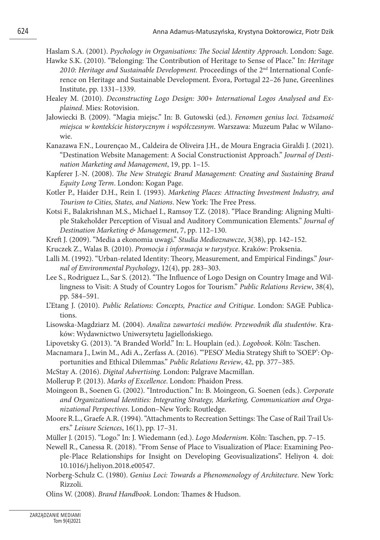Haslam S.A. (2001). *Psychology in Organisations: The Social Identity Approach*. London: Sage.

- Hawke S.K. (2010). "Belonging: The Contribution of Heritage to Sense of Place." In: *Heritage*  2010: Heritage and Sustainable Development. Proceedings of the 2<sup>nd</sup> International Conference on Heritage and Sustainable Development. Évora, Portugal 22–26 June, Greenlines Institute, pp. 1331–1339.
- Healey M. (2010). *Deconstructing Logo Design: 300+ International Logos Analysed and Explained*. Mies: Rotovision.
- Jałowiecki B. (2009). "Magia miejsc." In: B. Gutowski (ed.). *Fenomen genius loci. Tożsamość miejsca w kontekście historycznym i współczesnym*. Warszawa: Muzeum Pałac w Wilanowie.
- Kanazawa F.N., Lourençao M., Caldeira de Oliveira J.H., de Moura Engracia Giraldi J. (2021). "Destination Website Management: A Social Constructionist Approach." *Journal of Destination Marketing and Management*, 19, pp. 1–15.
- Kapferer J.-N. (2008). *The New Strategic Brand Management: Creating and Sustaining Brand Equity Long Term*. London: Kogan Page.
- Kotler P., Haider D.H., Rein I. (1993). *Marketing Places: Attracting Investment Industry, and Tourism to Cities, States, and Nations*. New York: The Free Press.
- Kotsi F., Balakrishnan M.S., Michael I., Ramsoy T.Z. (2018). "Place Branding: Aligning Multiple Stakeholder Perception of Visual and Auditory Communication Elements." *Journal of Destination Marketing & Management*, 7, pp. 112–130.
- Kreft J. (2009). "Media a ekonomia uwagi." *Studia Medioznawcze*, 3(38), pp. 142–152.
- Kruczek Z., Walas B. (2010). *Promocja i informacja w turystyce*. Kraków: Proksenia.
- Lalli M. (1992). "Urban-related Identity: Theory, Measurement, and Empirical Findings." *Journal of Environmental Psychology*, 12(4), pp. 283–303.
- Lee S., Rodriguez L., Sar S. (2012). "The Influence of Logo Design on Country Image and Willingness to Visit: A Study of Country Logos for Tourism." *Public Relations Review*, 38(4), pp. 584–591.
- L'Etang J. (2010). *Public Relations: Concepts, Practice and Critique*. London: SAGE Publications.
- Lisowska-Magdziarz M. (2004). *Analiza zawartości mediów. Przewodnik dla studentów*. Kraków: Wydawnictwo Uniwersytetu Jagiellońskiego.
- Lipovetsky G. (2013). "A Branded World." In: L. Houplain (ed.). *Logobook*. Köln: Taschen.
- Macnamara J., Lwin M., Adi A., Zerfass A. (2016). "'PESO' Media Strategy Shift to 'SOEP': Opportunities and Ethical Dilemmas." *Public Relations Review*, 42, pp. 377–385.
- McStay A. (2016). *Digital Advertising*. London: Palgrave Macmillan.
- Mollerup P. (2013). *Marks of Excellence*. London: Phaidon Press.
- Moingeon B., Soenen G. (2002). "Introduction." In: B. Moingeon, G. Soenen (eds.). *Corporate and Organizational Identities: Integrating Strategy, Marketing, Communication and Organizational Perspectives*. London–New York: Routledge.
- Moore R.L., Graefe A.R. (1994). "Attachments to Recreation Settings: The Case of Rail Trail Users." *Leisure Sciences*, 16(1), pp. 17–31.
- Müller J. (2015). "Logo." In: J. Wiedemann (ed.). *Logo Modernism*. Köln: Taschen, pp. 7–15.
- Newell R., Canessa R. (2018). "From Sense of Place to Visualization of Place: Examining People-Place Relationships for Insight on Developing Geovisualizations". Heliyon 4. doi: 10.1016/j.heliyon.2018.e00547.
- Norberg-Schulz C. (1980). *Genius Loci: Towards a Phenomenology of Architecture*. New York: Rizzoli.
- Olins W. (2008). *Brand Handbook*. London: Thames & Hudson.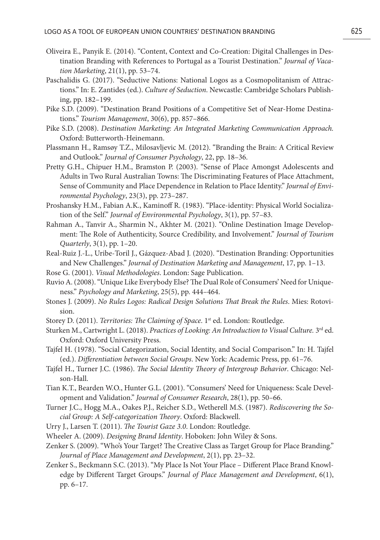- Oliveira E., Panyik E. (2014). "Content, Context and Co-Creation: Digital Challenges in Destination Branding with References to Portugal as a Tourist Destination." *Journal of Vacation Marketing*, 21(1), pp. 53–74.
- Paschalidis G. (2017). "Seductive Nations: National Logos as a Cosmopolitanism of Attractions." In: E. Zantides (ed.). *Culture of Seduction*. Newcastle: Cambridge Scholars Publishing, pp. 182–199.
- Pike S.D. (2009). "Destination Brand Positions of a Competitive Set of Near-Home Destinations." *Tourism Management*, 30(6), pp. 857–866.
- Pike S.D. (2008). *Destination Marketing: An Integrated Marketing Communication Approach.*  Oxford: Butterworth-Heinemann.
- Plassmann H., Ramsøy T.Z., Milosavljevic M. (2012). "Branding the Brain: A Critical Review and Outlook." *Journal of Consumer Psychology*, 22, pp. 18–36.
- Pretty G.H., Chipuer H.M., Bramston P. (2003). "Sense of Place Amongst Adolescents and Adults in Two Rural Australian Towns: The Discriminating Features of Place Attachment, Sense of Community and Place Dependence in Relation to Place Identity." *Journal of Environmental Psychology*, 23(3), pp. 273–287.
- Proshansky H.M., Fabian A.K., Kaminoff R. (1983). "Place-identity: Physical World Socialization of the Self." *Journal of Environmental Psychology*, 3(1), pp. 57–83.
- Rahman A., Tanvir A., Sharmin N., Akhter M. (2021). "Online Destination Image Development: The Role of Authenticity, Source Credibility, and Involvement." *Journal of Tourism Quarterly*, 3(1), pp. 1–20.
- Real-Ruiz J.-L., Uribe-Toril J., Gázquez-Abad J. (2020). "Destination Branding: Opportunities and New Challenges." *Journal of Destination Marketing and Management*, 17, pp. 1–13.
- Rose G. (2001). *Visual Methodologies*. London: Sage Publication.
- Ruvio A. (2008). "Unique Like Everybody Else? The Dual Role of Consumers' Need for Uniqueness." *Psychology and Marketing*, 25(5), pp. 444–464.
- Stones J. (2009). *No Rules Logos: Radical Design Solutions That Break the Rules*. Mies: Rotovision.
- Storey D. (2011). *Territories: The Claiming of Space*. 1<sup>st</sup> ed. London: Routledge.
- Sturken M., Cartwright L. (2018). *Practices of Looking: An Introduction to Visual Culture.* 3<sup>rd</sup> ed. Oxford: Oxford University Press.
- Tajfel H. (1978). "Social Categorization, Social Identity, and Social Comparison." In: H. Tajfel (ed.). *Differentiation between Social Groups*. New York: Academic Press, pp. 61–76.
- Tajfel H., Turner J.C. (1986). *The Social Identity Theory of Intergroup Behavior*. Chicago: Nelson-Hall.
- Tian K.T., Bearden W.O., Hunter G.L. (2001). "Consumers' Need for Uniqueness: Scale Development and Validation." *Journal of Consumer Research*, 28(1), pp. 50–66.
- Turner J.C., Hogg M.A., Oakes P.J., Reicher S.D., Wetherell M.S. (1987). *Rediscovering the Social Group: A Self-categorization Theory*. Oxford: Blackwell.
- Urry J., Larsen T. (2011). *The Tourist Gaze 3.0*. London: Routledge.
- Wheeler A. (2009). *Designing Brand Identity*. Hoboken: John Wiley & Sons.
- Zenker S. (2009). "Who's Your Target? The Creative Class as Target Group for Place Branding." *Journal of Place Management and Development*, 2(1), pp. 23–32.
- Zenker S., Beckmann S.C. (2013). "My Place Is Not Your Place Different Place Brand Knowledge by Different Target Groups." *Journal of Place Management and Development*, 6(1), pp. 6–17.